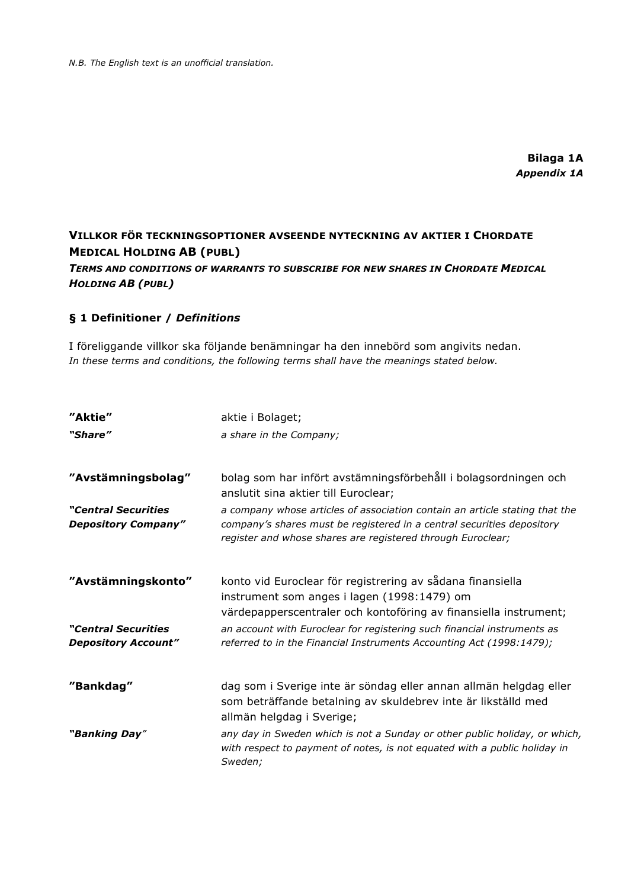*N.B. The English text is an unofficial translation.*

**Bilaga 1A** *Appendix 1A*

# **VILLKOR FÖR TECKNINGSOPTIONER AVSEENDE NYTECKNING AV AKTIER I CHORDATE MEDICAL HOLDING AB (PUBL)** *TERMS AND CONDITIONS OF WARRANTS TO SUBSCRIBE FOR NEW SHARES IN CHORDATE MEDICAL HOLDING AB (PUBL)*

### **§ 1 Definitioner /** *Definitions*

I föreliggande villkor ska följande benämningar ha den innebörd som angivits nedan. *In these terms and conditions, the following terms shall have the meanings stated below.*

| "Aktie"                                           | aktie i Bolaget;                                                                                                                                                                                                     |
|---------------------------------------------------|----------------------------------------------------------------------------------------------------------------------------------------------------------------------------------------------------------------------|
| "Share"                                           | a share in the Company;                                                                                                                                                                                              |
| "Avstämningsbolag"                                | bolag som har infört avstämningsförbehåll i bolagsordningen och<br>anslutit sina aktier till Euroclear;                                                                                                              |
| "Central Securities<br><b>Depository Company"</b> | a company whose articles of association contain an article stating that the<br>company's shares must be registered in a central securities depository<br>register and whose shares are registered through Euroclear; |
| "Avstämningskonto"                                | konto vid Euroclear för registrering av sådana finansiella<br>instrument som anges i lagen (1998:1479) om<br>värdepapperscentraler och kontoföring av finansiella instrument;                                        |
| "Central Securities<br><b>Depository Account"</b> | an account with Euroclear for registering such financial instruments as<br>referred to in the Financial Instruments Accounting Act (1998:1479);                                                                      |
| "Bankdag"                                         | dag som i Sverige inte är söndag eller annan allmän helgdag eller<br>som beträffande betalning av skuldebrev inte är likställd med<br>allmän helgdag i Sverige;                                                      |
| "Banking Day"                                     | any day in Sweden which is not a Sunday or other public holiday, or which,<br>with respect to payment of notes, is not equated with a public holiday in<br>Sweden;                                                   |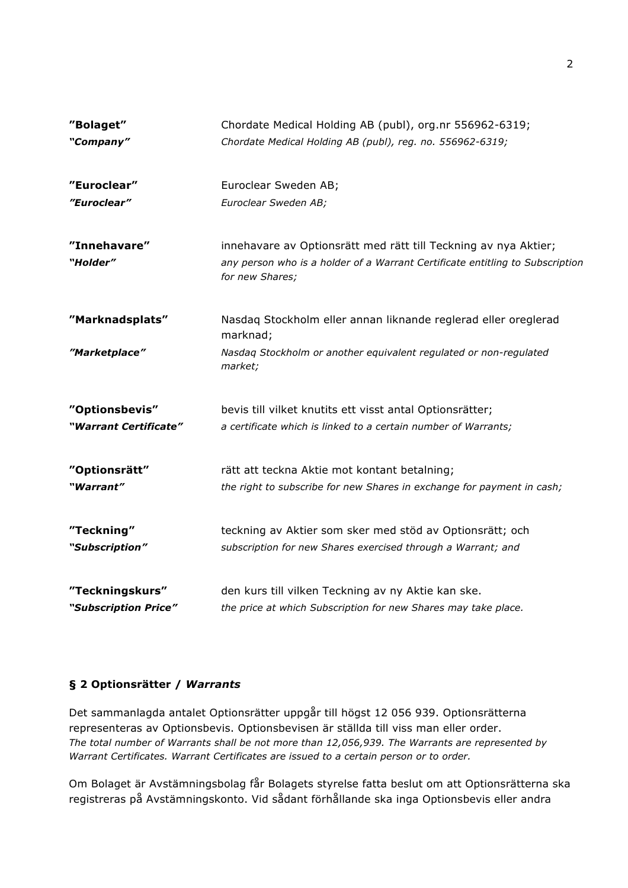| "Bolaget"             | Chordate Medical Holding AB (publ), org.nr 556962-6319;                                          |  |  |  |
|-----------------------|--------------------------------------------------------------------------------------------------|--|--|--|
| "Company"             | Chordate Medical Holding AB (publ), reg. no. 556962-6319;                                        |  |  |  |
| "Euroclear"           | Euroclear Sweden AB;                                                                             |  |  |  |
| "Euroclear"           | Euroclear Sweden AB;                                                                             |  |  |  |
| "Innehavare"          | innehavare av Optionsrätt med rätt till Teckning av nya Aktier;                                  |  |  |  |
| "Holder"              | any person who is a holder of a Warrant Certificate entitling to Subscription<br>for new Shares; |  |  |  |
| "Marknadsplats"       | Nasdaq Stockholm eller annan liknande reglerad eller oreglerad<br>marknad;                       |  |  |  |
| "Marketplace"         | Nasdaq Stockholm or another equivalent regulated or non-regulated<br>market;                     |  |  |  |
| "Optionsbevis"        | bevis till vilket knutits ett visst antal Optionsrätter;                                         |  |  |  |
| "Warrant Certificate" | a certificate which is linked to a certain number of Warrants;                                   |  |  |  |
| "Optionsrätt"         | rätt att teckna Aktie mot kontant betalning;                                                     |  |  |  |
| "Warrant"             | the right to subscribe for new Shares in exchange for payment in cash;                           |  |  |  |
| "Teckning"            | teckning av Aktier som sker med stöd av Optionsrätt; och                                         |  |  |  |
| "Subscription"        | subscription for new Shares exercised through a Warrant; and                                     |  |  |  |
| "Teckningskurs"       | den kurs till vilken Teckning av ny Aktie kan ske.                                               |  |  |  |
| "Subscription Price"  | the price at which Subscription for new Shares may take place.                                   |  |  |  |

### **§ 2 Optionsrätter /** *Warrants*

Det sammanlagda antalet Optionsrätter uppgår till högst 12 056 939. Optionsrätterna representeras av Optionsbevis. Optionsbevisen är ställda till viss man eller order. *The total number of Warrants shall be not more than 12,056,939. The Warrants are represented by Warrant Certificates. Warrant Certificates are issued to a certain person or to order.*

Om Bolaget är Avstämningsbolag får Bolagets styrelse fatta beslut om att Optionsrätterna ska registreras på Avstämningskonto. Vid sådant förhållande ska inga Optionsbevis eller andra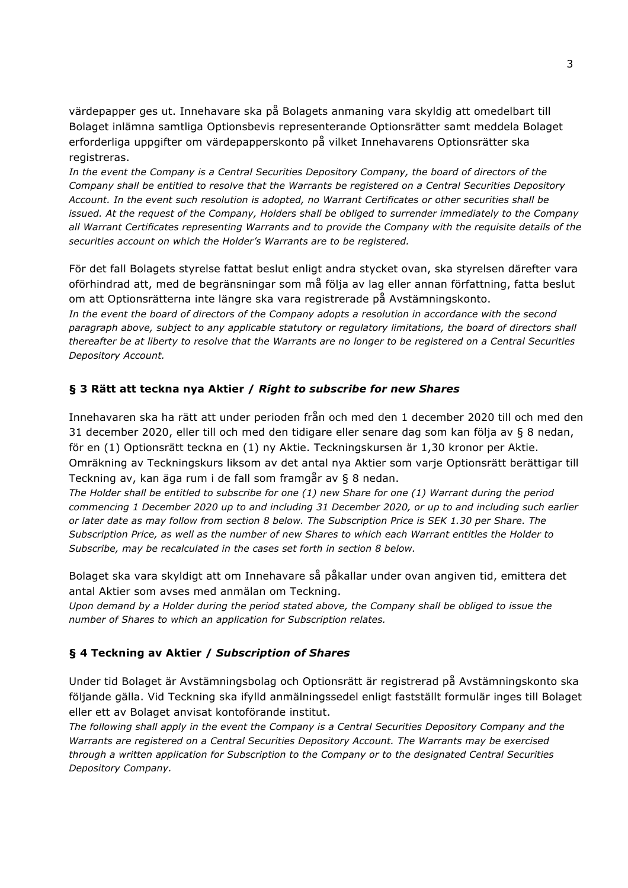värdepapper ges ut. Innehavare ska på Bolagets anmaning vara skyldig att omedelbart till Bolaget inlämna samtliga Optionsbevis representerande Optionsrätter samt meddela Bolaget erforderliga uppgifter om värdepapperskonto på vilket Innehavarens Optionsrätter ska registreras.

*In the event the Company is a Central Securities Depository Company, the board of directors of the Company shall be entitled to resolve that the Warrants be registered on a Central Securities Depository Account. In the event such resolution is adopted, no Warrant Certificates or other securities shall be issued. At the request of the Company, Holders shall be obliged to surrender immediately to the Company all Warrant Certificates representing Warrants and to provide the Company with the requisite details of the securities account on which the Holder's Warrants are to be registered.*

För det fall Bolagets styrelse fattat beslut enligt andra stycket ovan, ska styrelsen därefter vara oförhindrad att, med de begränsningar som må följa av lag eller annan författning, fatta beslut om att Optionsrätterna inte längre ska vara registrerade på Avstämningskonto.

In the event the board of directors of the Company adopts a resolution in accordance with the second *paragraph above, subject to any applicable statutory or regulatory limitations, the board of directors shall thereafter be at liberty to resolve that the Warrants are no longer to be registered on a Central Securities Depository Account.*

### **§ 3 Rätt att teckna nya Aktier /** *Right to subscribe for new Shares*

Innehavaren ska ha rätt att under perioden från och med den 1 december 2020 till och med den 31 december 2020, eller till och med den tidigare eller senare dag som kan följa av § 8 nedan, för en (1) Optionsrätt teckna en (1) ny Aktie. Teckningskursen är 1,30 kronor per Aktie. Omräkning av Teckningskurs liksom av det antal nya Aktier som varje Optionsrätt berättigar till Teckning av, kan äga rum i de fall som framgår av § 8 nedan.

*The Holder shall be entitled to subscribe for one (1) new Share for one (1) Warrant during the period commencing 1 December 2020 up to and including 31 December 2020, or up to and including such earlier or later date as may follow from section 8 below. The Subscription Price is SEK 1.30 per Share. The Subscription Price, as well as the number of new Shares to which each Warrant entitles the Holder to Subscribe, may be recalculated in the cases set forth in section 8 below.*

Bolaget ska vara skyldigt att om Innehavare så påkallar under ovan angiven tid, emittera det antal Aktier som avses med anmälan om Teckning.

*Upon demand by a Holder during the period stated above, the Company shall be obliged to issue the number of Shares to which an application for Subscription relates.*

### **§ 4 Teckning av Aktier /** *Subscription of Shares*

Under tid Bolaget är Avstämningsbolag och Optionsrätt är registrerad på Avstämningskonto ska följande gälla. Vid Teckning ska ifylld anmälningssedel enligt fastställt formulär inges till Bolaget eller ett av Bolaget anvisat kontoförande institut.

*The following shall apply in the event the Company is a Central Securities Depository Company and the Warrants are registered on a Central Securities Depository Account. The Warrants may be exercised through a written application for Subscription to the Company or to the designated Central Securities Depository Company.*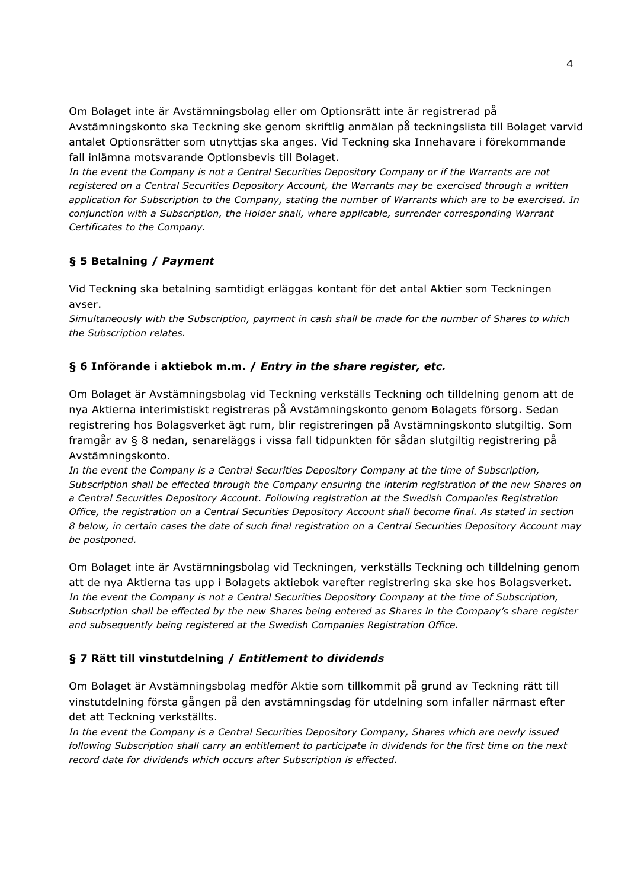Om Bolaget inte är Avstämningsbolag eller om Optionsrätt inte är registrerad på Avstämningskonto ska Teckning ske genom skriftlig anmälan på teckningslista till Bolaget varvid antalet Optionsrätter som utnyttjas ska anges. Vid Teckning ska Innehavare i förekommande fall inlämna motsvarande Optionsbevis till Bolaget.

*In the event the Company is not a Central Securities Depository Company or if the Warrants are not registered on a Central Securities Depository Account, the Warrants may be exercised through a written application for Subscription to the Company, stating the number of Warrants which are to be exercised. In conjunction with a Subscription, the Holder shall, where applicable, surrender corresponding Warrant Certificates to the Company.*

## **§ 5 Betalning /** *Payment*

Vid Teckning ska betalning samtidigt erläggas kontant för det antal Aktier som Teckningen avser.

*Simultaneously with the Subscription, payment in cash shall be made for the number of Shares to which the Subscription relates.*

## **§ 6 Införande i aktiebok m.m. /** *Entry in the share register, etc.*

Om Bolaget är Avstämningsbolag vid Teckning verkställs Teckning och tilldelning genom att de nya Aktierna interimistiskt registreras på Avstämningskonto genom Bolagets försorg. Sedan registrering hos Bolagsverket ägt rum, blir registreringen på Avstämningskonto slutgiltig. Som framgår av § 8 nedan, senareläggs i vissa fall tidpunkten för sådan slutgiltig registrering på Avstämningskonto.

*In the event the Company is a Central Securities Depository Company at the time of Subscription, Subscription shall be effected through the Company ensuring the interim registration of the new Shares on a Central Securities Depository Account. Following registration at the Swedish Companies Registration Office, the registration on a Central Securities Depository Account shall become final. As stated in section 8 below, in certain cases the date of such final registration on a Central Securities Depository Account may be postponed.*

Om Bolaget inte är Avstämningsbolag vid Teckningen, verkställs Teckning och tilldelning genom att de nya Aktierna tas upp i Bolagets aktiebok varefter registrering ska ske hos Bolagsverket. *In the event the Company is not a Central Securities Depository Company at the time of Subscription, Subscription shall be effected by the new Shares being entered as Shares in the Company's share register and subsequently being registered at the Swedish Companies Registration Office.*

## **§ 7 Rätt till vinstutdelning /** *Entitlement to dividends*

Om Bolaget är Avstämningsbolag medför Aktie som tillkommit på grund av Teckning rätt till vinstutdelning första gången på den avstämningsdag för utdelning som infaller närmast efter det att Teckning verkställts.

*In the event the Company is a Central Securities Depository Company, Shares which are newly issued following Subscription shall carry an entitlement to participate in dividends for the first time on the next record date for dividends which occurs after Subscription is effected.*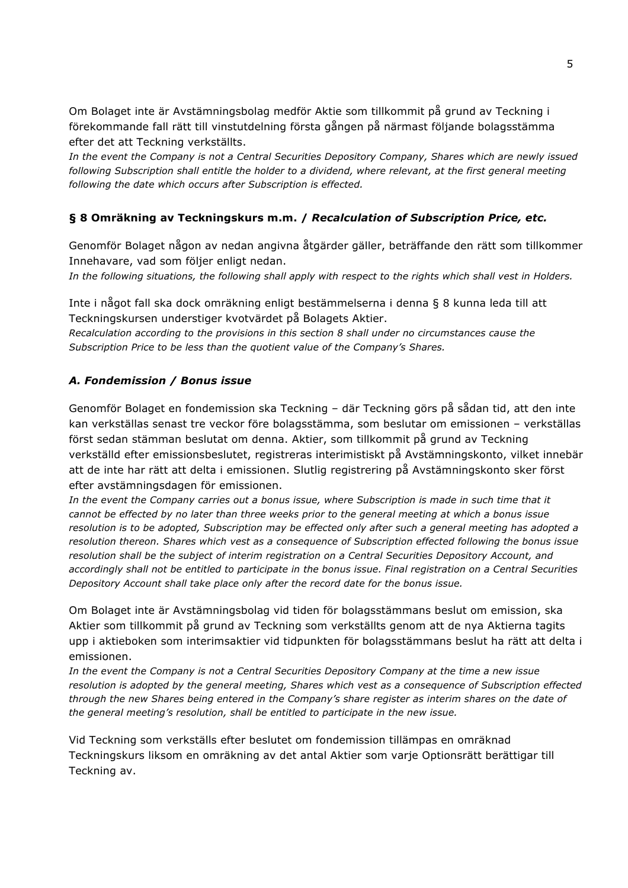Om Bolaget inte är Avstämningsbolag medför Aktie som tillkommit på grund av Teckning i förekommande fall rätt till vinstutdelning första gången på närmast följande bolagsstämma efter det att Teckning verkställts.

*In the event the Company is not a Central Securities Depository Company, Shares which are newly issued following Subscription shall entitle the holder to a dividend, where relevant, at the first general meeting following the date which occurs after Subscription is effected.*

### **§ 8 Omräkning av Teckningskurs m.m. /** *Recalculation of Subscription Price, etc.*

Genomför Bolaget någon av nedan angivna åtgärder gäller, beträffande den rätt som tillkommer Innehavare, vad som följer enligt nedan.

*In the following situations, the following shall apply with respect to the rights which shall vest in Holders.*

Inte i något fall ska dock omräkning enligt bestämmelserna i denna § 8 kunna leda till att Teckningskursen understiger kvotvärdet på Bolagets Aktier.

*Recalculation according to the provisions in this section 8 shall under no circumstances cause the Subscription Price to be less than the quotient value of the Company's Shares.*

### *A. Fondemission / Bonus issue*

Genomför Bolaget en fondemission ska Teckning – där Teckning görs på sådan tid, att den inte kan verkställas senast tre veckor före bolagsstämma, som beslutar om emissionen – verkställas först sedan stämman beslutat om denna. Aktier, som tillkommit på grund av Teckning verkställd efter emissionsbeslutet, registreras interimistiskt på Avstämningskonto, vilket innebär att de inte har rätt att delta i emissionen. Slutlig registrering på Avstämningskonto sker först efter avstämningsdagen för emissionen.

*In the event the Company carries out a bonus issue, where Subscription is made in such time that it cannot be effected by no later than three weeks prior to the general meeting at which a bonus issue resolution is to be adopted, Subscription may be effected only after such a general meeting has adopted a resolution thereon. Shares which vest as a consequence of Subscription effected following the bonus issue resolution shall be the subject of interim registration on a Central Securities Depository Account, and accordingly shall not be entitled to participate in the bonus issue. Final registration on a Central Securities Depository Account shall take place only after the record date for the bonus issue.*

Om Bolaget inte är Avstämningsbolag vid tiden för bolagsstämmans beslut om emission, ska Aktier som tillkommit på grund av Teckning som verkställts genom att de nya Aktierna tagits upp i aktieboken som interimsaktier vid tidpunkten för bolagsstämmans beslut ha rätt att delta i emissionen.

*In the event the Company is not a Central Securities Depository Company at the time a new issue resolution is adopted by the general meeting, Shares which vest as a consequence of Subscription effected through the new Shares being entered in the Company's share register as interim shares on the date of the general meeting's resolution, shall be entitled to participate in the new issue.*

Vid Teckning som verkställs efter beslutet om fondemission tillämpas en omräknad Teckningskurs liksom en omräkning av det antal Aktier som varje Optionsrätt berättigar till Teckning av.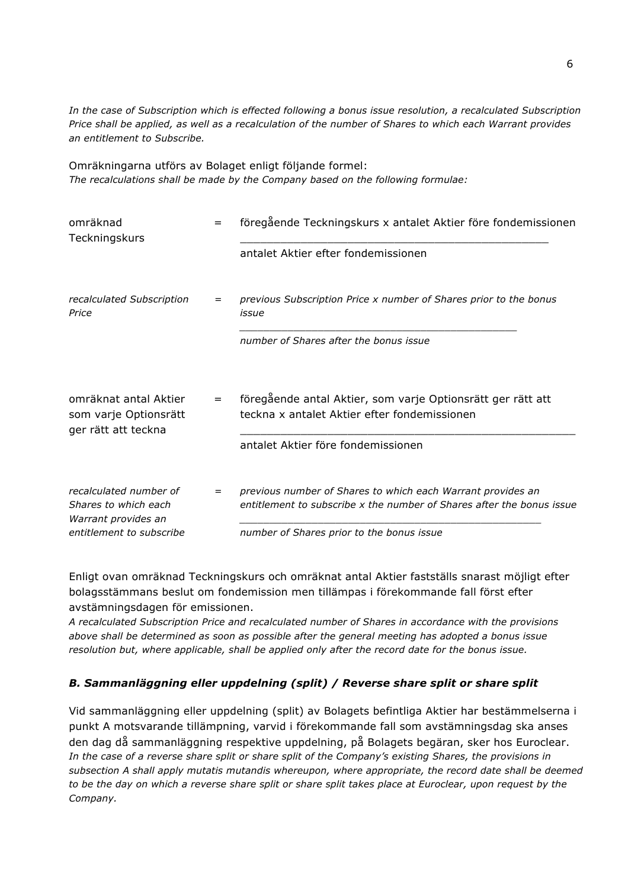*In the case of Subscription which is effected following a bonus issue resolution, a recalculated Subscription Price shall be applied, as well as a recalculation of the number of Shares to which each Warrant provides an entitlement to Subscribe.*

Omräkningarna utförs av Bolaget enligt följande formel: *The recalculations shall be made by the Company based on the following formulae:*

| $=$ | föregående Teckningskurs x antalet Aktier före fondemissionen                                                                                                                     |
|-----|-----------------------------------------------------------------------------------------------------------------------------------------------------------------------------------|
|     | antalet Aktier efter fondemissionen                                                                                                                                               |
| $=$ | previous Subscription Price x number of Shares prior to the bonus<br>issue                                                                                                        |
|     | number of Shares after the bonus issue                                                                                                                                            |
| $=$ | föregående antal Aktier, som varje Optionsrätt ger rätt att<br>teckna x antalet Aktier efter fondemissionen<br>antalet Aktier före fondemissionen                                 |
| $=$ | previous number of Shares to which each Warrant provides an<br>entitlement to subscribe x the number of Shares after the bonus issue<br>number of Shares prior to the bonus issue |
|     |                                                                                                                                                                                   |

Enligt ovan omräknad Teckningskurs och omräknat antal Aktier fastställs snarast möjligt efter bolagsstämmans beslut om fondemission men tillämpas i förekommande fall först efter avstämningsdagen för emissionen.

*A recalculated Subscription Price and recalculated number of Shares in accordance with the provisions above shall be determined as soon as possible after the general meeting has adopted a bonus issue resolution but, where applicable, shall be applied only after the record date for the bonus issue.*

### *B. Sammanläggning eller uppdelning (split) / Reverse share split or share split*

Vid sammanläggning eller uppdelning (split) av Bolagets befintliga Aktier har bestämmelserna i punkt A motsvarande tillämpning, varvid i förekommande fall som avstämningsdag ska anses den dag då sammanläggning respektive uppdelning, på Bolagets begäran, sker hos Euroclear. *In the case of a reverse share split or share split of the Company's existing Shares, the provisions in subsection A shall apply mutatis mutandis whereupon, where appropriate, the record date shall be deemed to be the day on which a reverse share split or share split takes place at Euroclear, upon request by the Company.*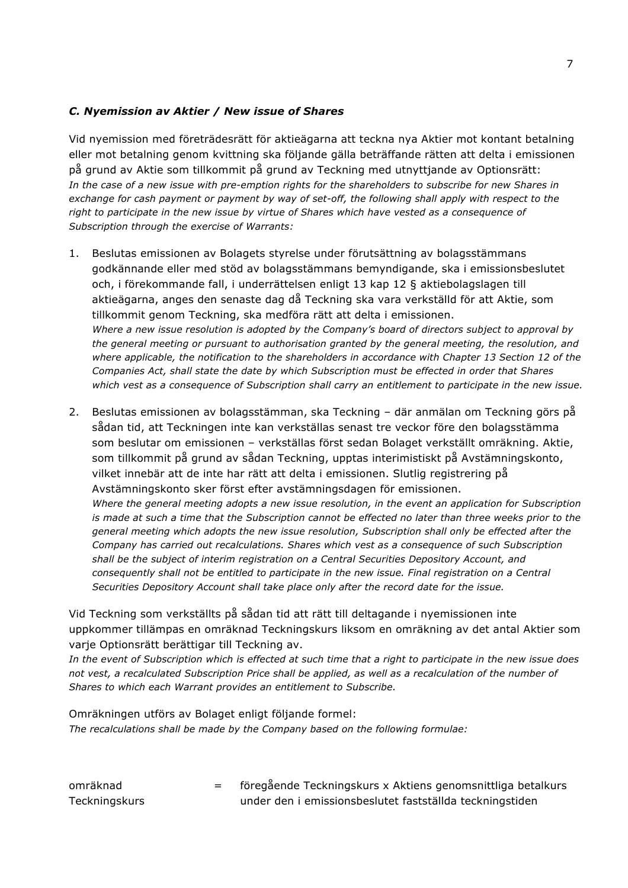#### *C. Nyemission av Aktier / New issue of Shares*

Vid nyemission med företrädesrätt för aktieägarna att teckna nya Aktier mot kontant betalning eller mot betalning genom kvittning ska följande gälla beträffande rätten att delta i emissionen på grund av Aktie som tillkommit på grund av Teckning med utnyttjande av Optionsrätt: *In the case of a new issue with pre-emption rights for the shareholders to subscribe for new Shares in exchange for cash payment or payment by way of set-off, the following shall apply with respect to the right to participate in the new issue by virtue of Shares which have vested as a consequence of Subscription through the exercise of Warrants:*

- 1. Beslutas emissionen av Bolagets styrelse under förutsättning av bolagsstämmans godkännande eller med stöd av bolagsstämmans bemyndigande, ska i emissionsbeslutet och, i förekommande fall, i underrättelsen enligt 13 kap 12 § aktiebolagslagen till aktieägarna, anges den senaste dag då Teckning ska vara verkställd för att Aktie, som tillkommit genom Teckning, ska medföra rätt att delta i emissionen. *Where a new issue resolution is adopted by the Company's board of directors subject to approval by the general meeting or pursuant to authorisation granted by the general meeting, the resolution, and where applicable, the notification to the shareholders in accordance with Chapter 13 Section 12 of the Companies Act, shall state the date by which Subscription must be effected in order that Shares which vest as a consequence of Subscription shall carry an entitlement to participate in the new issue.*
- 2. Beslutas emissionen av bolagsstämman, ska Teckning där anmälan om Teckning görs på sådan tid, att Teckningen inte kan verkställas senast tre veckor före den bolagsstämma som beslutar om emissionen – verkställas först sedan Bolaget verkställt omräkning. Aktie, som tillkommit på grund av sådan Teckning, upptas interimistiskt på Avstämningskonto, vilket innebär att de inte har rätt att delta i emissionen. Slutlig registrering på Avstämningskonto sker först efter avstämningsdagen för emissionen. *Where the general meeting adopts a new issue resolution, in the event an application for Subscription is made at such a time that the Subscription cannot be effected no later than three weeks prior to the general meeting which adopts the new issue resolution, Subscription shall only be effected after the Company has carried out recalculations. Shares which vest as a consequence of such Subscription shall be the subject of interim registration on a Central Securities Depository Account, and consequently shall not be entitled to participate in the new issue. Final registration on a Central Securities Depository Account shall take place only after the record date for the issue.*

Vid Teckning som verkställts på sådan tid att rätt till deltagande i nyemissionen inte uppkommer tillämpas en omräknad Teckningskurs liksom en omräkning av det antal Aktier som varje Optionsrätt berättigar till Teckning av.

*In the event of Subscription which is effected at such time that a right to participate in the new issue does not vest, a recalculated Subscription Price shall be applied, as well as a recalculation of the number of Shares to which each Warrant provides an entitlement to Subscribe.*

Omräkningen utförs av Bolaget enligt följande formel: *The recalculations shall be made by the Company based on the following formulae:*

omräknad **Teckningskurs** = föregående Teckningskurs x Aktiens genomsnittliga betalkurs under den i emissionsbeslutet fastställda teckningstiden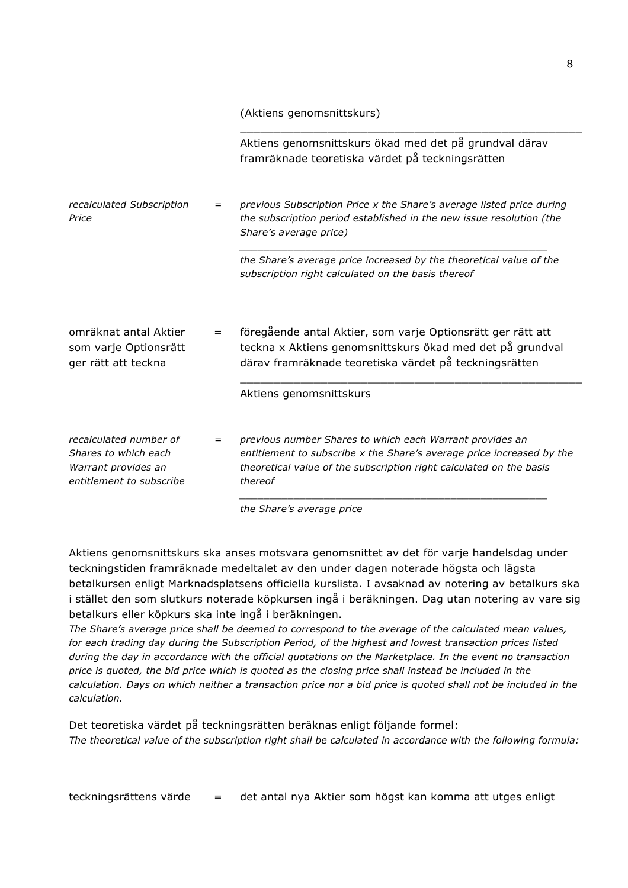\_\_\_\_\_\_\_\_\_\_\_\_\_\_\_\_\_\_\_\_\_\_\_\_\_\_\_\_\_\_\_\_\_\_\_\_\_\_\_\_\_\_\_\_\_\_\_\_\_\_\_ Aktiens genomsnittskurs ökad med det på grundval därav framräknade teoretiska värdet på teckningsrätten *recalculated Subscription Price = previous Subscription Price x the Share's average listed price during the subscription period established in the new issue resolution (the Share's average price) \_\_\_\_\_\_\_\_\_\_\_\_\_\_\_\_\_\_\_\_\_\_\_\_\_\_\_\_\_\_\_\_\_\_\_\_\_\_\_\_\_\_\_\_\_\_\_\_\_\_\_ the Share's average price increased by the theoretical value of the subscription right calculated on the basis thereof* omräknat antal Aktier som varje Optionsrätt ger rätt att teckna föregående antal Aktier, som varje Optionsrätt ger rätt att teckna x Aktiens genomsnittskurs ökad med det på grundval därav framräknade teoretiska värdet på teckningsrätten \_\_\_\_\_\_\_\_\_\_\_\_\_\_\_\_\_\_\_\_\_\_\_\_\_\_\_\_\_\_\_\_\_\_\_\_\_\_\_\_\_\_\_\_\_\_\_\_\_\_\_ Aktiens genomsnittskurs *recalculated number of Shares to which each Warrant provides an entitlement to subscribe = previous number Shares to which each Warrant provides an entitlement to subscribe x the Share's average price increased by the theoretical value of the subscription right calculated on the basis thereof \_\_\_\_\_\_\_\_\_\_\_\_\_\_\_\_\_\_\_\_\_\_\_\_\_\_\_\_\_\_\_\_\_\_\_\_\_\_\_\_\_\_\_\_\_\_\_\_\_\_\_ the Share's average price*

Aktiens genomsnittskurs ska anses motsvara genomsnittet av det för varje handelsdag under teckningstiden framräknade medeltalet av den under dagen noterade högsta och lägsta betalkursen enligt Marknadsplatsens officiella kurslista. I avsaknad av notering av betalkurs ska i stället den som slutkurs noterade köpkursen ingå i beräkningen. Dag utan notering av vare sig betalkurs eller köpkurs ska inte ingå i beräkningen.

*The Share's average price shall be deemed to correspond to the average of the calculated mean values, for each trading day during the Subscription Period, of the highest and lowest transaction prices listed during the day in accordance with the official quotations on the Marketplace. In the event no transaction price is quoted, the bid price which is quoted as the closing price shall instead be included in the calculation. Days on which neither a transaction price nor a bid price is quoted shall not be included in the calculation.*

Det teoretiska värdet på teckningsrätten beräknas enligt följande formel: *The theoretical value of the subscription right shall be calculated in accordance with the following formula:*

teckningsrättens värde = det antal nya Aktier som högst kan komma att utges enligt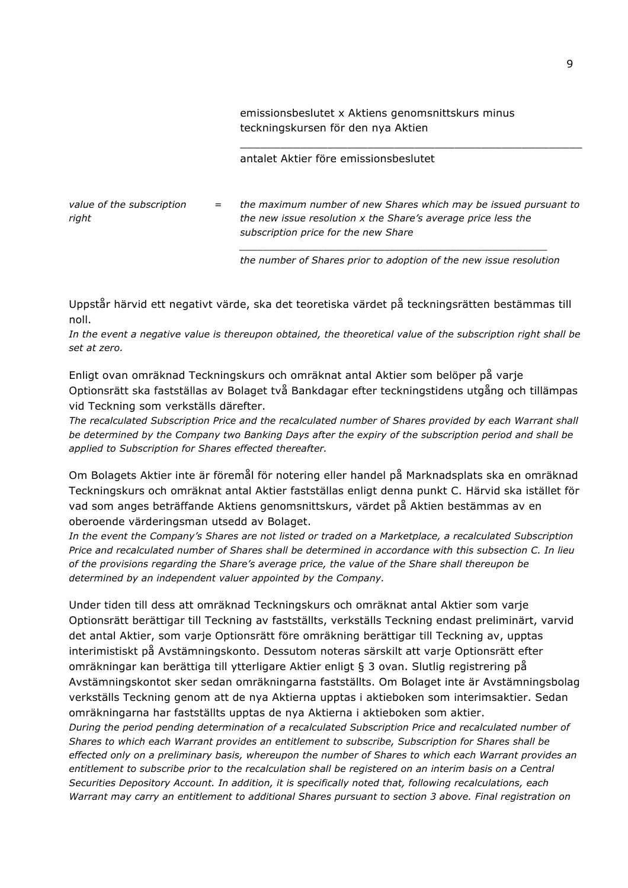emissionsbeslutet x Aktiens genomsnittskurs minus teckningskursen för den nya Aktien

antalet Aktier före emissionsbeslutet

*value of the subscription right = the maximum number of new Shares which may be issued pursuant to the new issue resolution x the Share's average price less the subscription price for the new Share*

> *\_\_\_\_\_\_\_\_\_\_\_\_\_\_\_\_\_\_\_\_\_\_\_\_\_\_\_\_\_\_\_\_\_\_\_\_\_\_\_\_\_\_\_\_\_\_\_\_\_\_\_ the number of Shares prior to adoption of the new issue resolution*

\_\_\_\_\_\_\_\_\_\_\_\_\_\_\_\_\_\_\_\_\_\_\_\_\_\_\_\_\_\_\_\_\_\_\_\_\_\_\_\_\_\_\_\_\_\_\_\_\_\_\_

Uppstår härvid ett negativt värde, ska det teoretiska värdet på teckningsrätten bestämmas till noll.

*In the event a negative value is thereupon obtained, the theoretical value of the subscription right shall be set at zero.*

Enligt ovan omräknad Teckningskurs och omräknat antal Aktier som belöper på varje Optionsrätt ska fastställas av Bolaget två Bankdagar efter teckningstidens utgång och tillämpas vid Teckning som verkställs därefter.

*The recalculated Subscription Price and the recalculated number of Shares provided by each Warrant shall be determined by the Company two Banking Days after the expiry of the subscription period and shall be applied to Subscription for Shares effected thereafter.*

Om Bolagets Aktier inte är föremål för notering eller handel på Marknadsplats ska en omräknad Teckningskurs och omräknat antal Aktier fastställas enligt denna punkt C. Härvid ska istället för vad som anges beträffande Aktiens genomsnittskurs, värdet på Aktien bestämmas av en oberoende värderingsman utsedd av Bolaget.

*In the event the Company's Shares are not listed or traded on a Marketplace, a recalculated Subscription Price and recalculated number of Shares shall be determined in accordance with this subsection C. In lieu of the provisions regarding the Share's average price, the value of the Share shall thereupon be determined by an independent valuer appointed by the Company.*

Under tiden till dess att omräknad Teckningskurs och omräknat antal Aktier som varje Optionsrätt berättigar till Teckning av fastställts, verkställs Teckning endast preliminärt, varvid det antal Aktier, som varje Optionsrätt före omräkning berättigar till Teckning av, upptas interimistiskt på Avstämningskonto. Dessutom noteras särskilt att varje Optionsrätt efter omräkningar kan berättiga till ytterligare Aktier enligt § 3 ovan. Slutlig registrering på Avstämningskontot sker sedan omräkningarna fastställts. Om Bolaget inte är Avstämningsbolag verkställs Teckning genom att de nya Aktierna upptas i aktieboken som interimsaktier. Sedan omräkningarna har fastställts upptas de nya Aktierna i aktieboken som aktier.

*During the period pending determination of a recalculated Subscription Price and recalculated number of Shares to which each Warrant provides an entitlement to subscribe, Subscription for Shares shall be effected only on a preliminary basis, whereupon the number of Shares to which each Warrant provides an*  entitlement to subscribe prior to the recalculation shall be registered on an interim basis on a Central *Securities Depository Account. In addition, it is specifically noted that, following recalculations, each Warrant may carry an entitlement to additional Shares pursuant to section 3 above. Final registration on*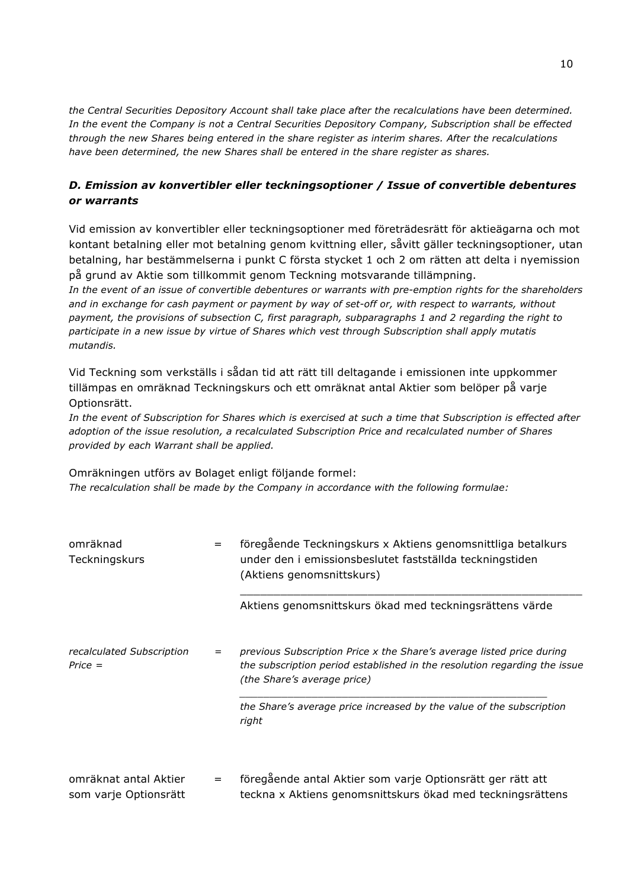*the Central Securities Depository Account shall take place after the recalculations have been determined. In the event the Company is not a Central Securities Depository Company, Subscription shall be effected through the new Shares being entered in the share register as interim shares. After the recalculations have been determined, the new Shares shall be entered in the share register as shares.*

## *D. Emission av konvertibler eller teckningsoptioner / Issue of convertible debentures or warrants*

Vid emission av konvertibler eller teckningsoptioner med företrädesrätt för aktieägarna och mot kontant betalning eller mot betalning genom kvittning eller, såvitt gäller teckningsoptioner, utan betalning, har bestämmelserna i punkt C första stycket 1 och 2 om rätten att delta i nyemission på grund av Aktie som tillkommit genom Teckning motsvarande tillämpning.

*In the event of an issue of convertible debentures or warrants with pre-emption rights for the shareholders and in exchange for cash payment or payment by way of set-off or, with respect to warrants, without payment, the provisions of subsection C, first paragraph, subparagraphs 1 and 2 regarding the right to participate in a new issue by virtue of Shares which vest through Subscription shall apply mutatis mutandis.*

Vid Teckning som verkställs i sådan tid att rätt till deltagande i emissionen inte uppkommer tillämpas en omräknad Teckningskurs och ett omräknat antal Aktier som belöper på varje Optionsrätt.

*In the event of Subscription for Shares which is exercised at such a time that Subscription is effected after adoption of the issue resolution, a recalculated Subscription Price and recalculated number of Shares provided by each Warrant shall be applied.*

Omräkningen utförs av Bolaget enligt följande formel: *The recalculation shall be made by the Company in accordance with the following formulae:*

| omräknad<br>Teckningskurs                      | $=$ | föregående Teckningskurs x Aktiens genomsnittliga betalkurs<br>under den i emissionsbeslutet fastställda teckningstiden<br>(Aktiens genomsnittskurs)                              |  |
|------------------------------------------------|-----|-----------------------------------------------------------------------------------------------------------------------------------------------------------------------------------|--|
|                                                |     | Aktiens genomsnittskurs ökad med teckningsrättens värde                                                                                                                           |  |
| recalculated Subscription<br>$Price =$         | $=$ | previous Subscription Price x the Share's average listed price during<br>the subscription period established in the resolution regarding the issue<br>(the Share's average price) |  |
|                                                |     | the Share's average price increased by the value of the subscription<br>right                                                                                                     |  |
| omräknat antal Aktier<br>som varje Optionsrätt | $=$ | föregående antal Aktier som varje Optionsrätt ger rätt att<br>teckna x Aktiens genomsnittskurs ökad med teckningsrättens                                                          |  |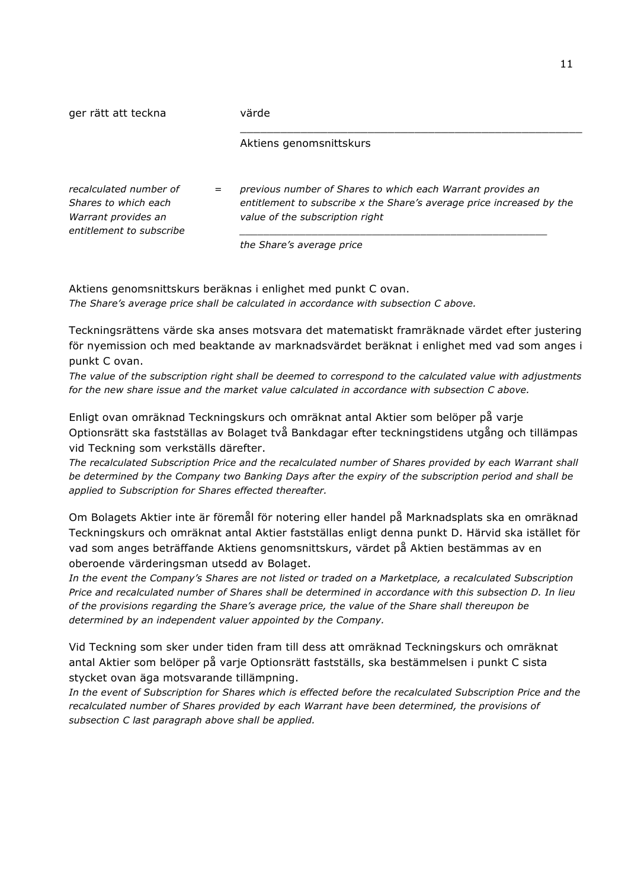| ger rätt att teckna                                                                               |     | värde                                                                                                                                                                   |  |  |
|---------------------------------------------------------------------------------------------------|-----|-------------------------------------------------------------------------------------------------------------------------------------------------------------------------|--|--|
|                                                                                                   |     | Aktiens genomsnittskurs                                                                                                                                                 |  |  |
| recalculated number of<br>Shares to which each<br>Warrant provides an<br>entitlement to subscribe | $=$ | previous number of Shares to which each Warrant provides an<br>entitlement to subscribe x the Share's average price increased by the<br>value of the subscription right |  |  |
|                                                                                                   |     | the Share's average price                                                                                                                                               |  |  |

Aktiens genomsnittskurs beräknas i enlighet med punkt C ovan. *The Share's average price shall be calculated in accordance with subsection C above.*

Teckningsrättens värde ska anses motsvara det matematiskt framräknade värdet efter justering för nyemission och med beaktande av marknadsvärdet beräknat i enlighet med vad som anges i punkt C ovan.

*The value of the subscription right shall be deemed to correspond to the calculated value with adjustments for the new share issue and the market value calculated in accordance with subsection C above.*

Enligt ovan omräknad Teckningskurs och omräknat antal Aktier som belöper på varje Optionsrätt ska fastställas av Bolaget två Bankdagar efter teckningstidens utgång och tillämpas vid Teckning som verkställs därefter.

*The recalculated Subscription Price and the recalculated number of Shares provided by each Warrant shall be determined by the Company two Banking Days after the expiry of the subscription period and shall be applied to Subscription for Shares effected thereafter.*

Om Bolagets Aktier inte är föremål för notering eller handel på Marknadsplats ska en omräknad Teckningskurs och omräknat antal Aktier fastställas enligt denna punkt D. Härvid ska istället för vad som anges beträffande Aktiens genomsnittskurs, värdet på Aktien bestämmas av en oberoende värderingsman utsedd av Bolaget.

*In the event the Company's Shares are not listed or traded on a Marketplace, a recalculated Subscription Price and recalculated number of Shares shall be determined in accordance with this subsection D. In lieu of the provisions regarding the Share's average price, the value of the Share shall thereupon be determined by an independent valuer appointed by the Company.*

Vid Teckning som sker under tiden fram till dess att omräknad Teckningskurs och omräknat antal Aktier som belöper på varje Optionsrätt fastställs, ska bestämmelsen i punkt C sista stycket ovan äga motsvarande tillämpning.

*In the event of Subscription for Shares which is effected before the recalculated Subscription Price and the*  recalculated number of Shares provided by each Warrant have been determined, the provisions of *subsection C last paragraph above shall be applied.*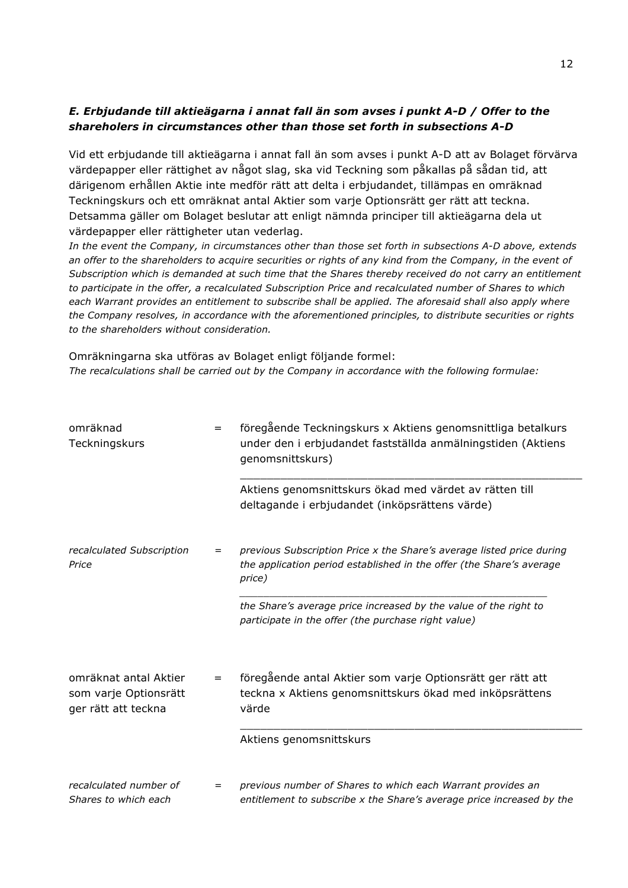### *E. Erbjudande till aktieägarna i annat fall än som avses i punkt A-D / Offer to the shareholers in circumstances other than those set forth in subsections A-D*

Vid ett erbjudande till aktieägarna i annat fall än som avses i punkt A-D att av Bolaget förvärva värdepapper eller rättighet av något slag, ska vid Teckning som påkallas på sådan tid, att därigenom erhållen Aktie inte medför rätt att delta i erbjudandet, tillämpas en omräknad Teckningskurs och ett omräknat antal Aktier som varje Optionsrätt ger rätt att teckna. Detsamma gäller om Bolaget beslutar att enligt nämnda principer till aktieägarna dela ut värdepapper eller rättigheter utan vederlag.

*In the event the Company, in circumstances other than those set forth in subsections A-D above, extends an offer to the shareholders to acquire securities or rights of any kind from the Company, in the event of Subscription which is demanded at such time that the Shares thereby received do not carry an entitlement to participate in the offer, a recalculated Subscription Price and recalculated number of Shares to which each Warrant provides an entitlement to subscribe shall be applied. The aforesaid shall also apply where the Company resolves, in accordance with the aforementioned principles, to distribute securities or rights to the shareholders without consideration.*

Omräkningarna ska utföras av Bolaget enligt följande formel: *The recalculations shall be carried out by the Company in accordance with the following formulae:*

| omräknad<br>Teckningskurs                                             | $=$ | föregående Teckningskurs x Aktiens genomsnittliga betalkurs<br>under den i erbjudandet fastställda anmälningstiden (Aktiens<br>genomsnittskurs)         |
|-----------------------------------------------------------------------|-----|---------------------------------------------------------------------------------------------------------------------------------------------------------|
|                                                                       |     | Aktiens genomsnittskurs ökad med värdet av rätten till<br>deltagande i erbjudandet (inköpsrättens värde)                                                |
| recalculated Subscription<br>Price                                    | $=$ | previous Subscription Price x the Share's average listed price during<br>the application period established in the offer (the Share's average<br>price) |
|                                                                       |     | the Share's average price increased by the value of the right to<br>participate in the offer (the purchase right value)                                 |
| omräknat antal Aktier<br>som varje Optionsrätt<br>ger rätt att teckna | $=$ | föregående antal Aktier som varje Optionsrätt ger rätt att<br>teckna x Aktiens genomsnittskurs ökad med inköpsrättens<br>värde                          |
|                                                                       |     | Aktiens genomsnittskurs                                                                                                                                 |
| recalculated number of<br>Shares to which each                        | $=$ | previous number of Shares to which each Warrant provides an<br>entitlement to subscribe x the Share's average price increased by the                    |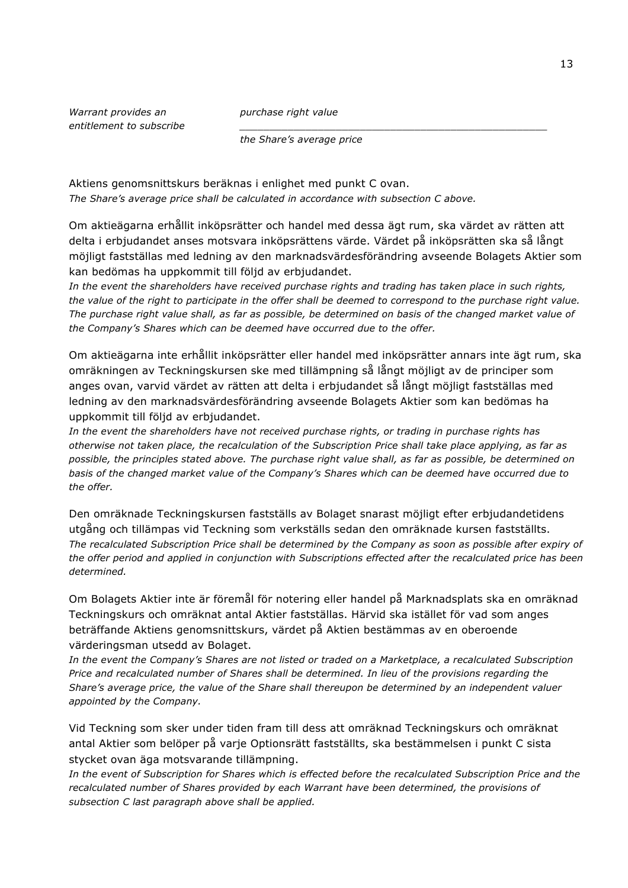*Warrant provides an entitlement to subscribe* *purchase right value*

*the Share's average price*

Aktiens genomsnittskurs beräknas i enlighet med punkt C ovan. *The Share's average price shall be calculated in accordance with subsection C above.*

Om aktieägarna erhållit inköpsrätter och handel med dessa ägt rum, ska värdet av rätten att delta i erbjudandet anses motsvara inköpsrättens värde. Värdet på inköpsrätten ska så långt möjligt fastställas med ledning av den marknadsvärdesförändring avseende Bolagets Aktier som kan bedömas ha uppkommit till följd av erbjudandet.

*\_\_\_\_\_\_\_\_\_\_\_\_\_\_\_\_\_\_\_\_\_\_\_\_\_\_\_\_\_\_\_\_\_\_\_\_\_\_\_\_\_\_\_\_\_\_\_\_\_\_\_*

*In the event the shareholders have received purchase rights and trading has taken place in such rights, the value of the right to participate in the offer shall be deemed to correspond to the purchase right value. The purchase right value shall, as far as possible, be determined on basis of the changed market value of the Company's Shares which can be deemed have occurred due to the offer.*

Om aktieägarna inte erhållit inköpsrätter eller handel med inköpsrätter annars inte ägt rum, ska omräkningen av Teckningskursen ske med tillämpning så långt möjligt av de principer som anges ovan, varvid värdet av rätten att delta i erbjudandet så långt möjligt fastställas med ledning av den marknadsvärdesförändring avseende Bolagets Aktier som kan bedömas ha uppkommit till följd av erbjudandet.

*In the event the shareholders have not received purchase rights, or trading in purchase rights has otherwise not taken place, the recalculation of the Subscription Price shall take place applying, as far as possible, the principles stated above. The purchase right value shall, as far as possible, be determined on basis of the changed market value of the Company's Shares which can be deemed have occurred due to the offer.*

Den omräknade Teckningskursen fastställs av Bolaget snarast möjligt efter erbjudandetidens utgång och tillämpas vid Teckning som verkställs sedan den omräknade kursen fastställts. *The recalculated Subscription Price shall be determined by the Company as soon as possible after expiry of the offer period and applied in conjunction with Subscriptions effected after the recalculated price has been determined.*

Om Bolagets Aktier inte är föremål för notering eller handel på Marknadsplats ska en omräknad Teckningskurs och omräknat antal Aktier fastställas. Härvid ska istället för vad som anges beträffande Aktiens genomsnittskurs, värdet på Aktien bestämmas av en oberoende värderingsman utsedd av Bolaget.

*In the event the Company's Shares are not listed or traded on a Marketplace, a recalculated Subscription Price and recalculated number of Shares shall be determined. In lieu of the provisions regarding the Share's average price, the value of the Share shall thereupon be determined by an independent valuer appointed by the Company.*

Vid Teckning som sker under tiden fram till dess att omräknad Teckningskurs och omräknat antal Aktier som belöper på varje Optionsrätt fastställts, ska bestämmelsen i punkt C sista stycket ovan äga motsvarande tillämpning.

*In the event of Subscription for Shares which is effected before the recalculated Subscription Price and the*  recalculated number of Shares provided by each Warrant have been determined, the provisions of *subsection C last paragraph above shall be applied.*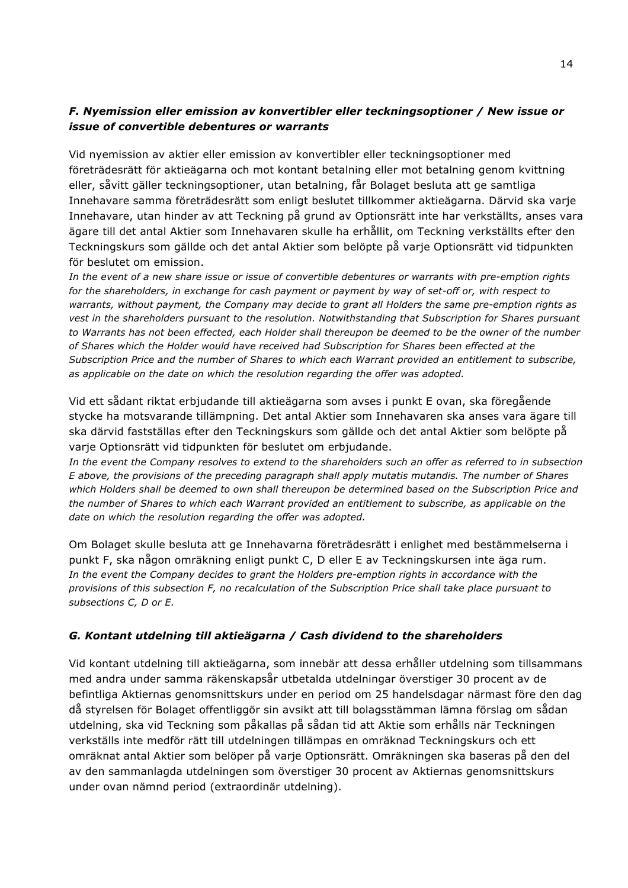## *F. Nyemission eller emission av konvertibler eller teckningsoptioner / New issue or issue of convertible debentures or warrants*

Vid nyemission av aktier eller emission av konvertibler eller teckningsoptioner med företrädesrätt för aktieägarna och mot kontant betalning eller mot betalning genom kvittning eller, såvitt gäller teckningsoptioner, utan betalning, får Bolaget besluta att ge samtliga Innehavare samma företrädesrätt som enligt beslutet tillkommer aktieägarna. Därvid ska varje Innehavare, utan hinder av att Teckning på grund av Optionsrätt inte har verkställts, anses vara ägare till det antal Aktier som Innehavaren skulle ha erhållit, om Teckning verkställts efter den Teckningskurs som gällde och det antal Aktier som belöpte på varje Optionsrätt vid tidpunkten för beslutet om emission.

*In the event of a new share issue or issue of convertible debentures or warrants with pre-emption rights for the shareholders, in exchange for cash payment or payment by way of set-off or, with respect to warrants, without payment, the Company may decide to grant all Holders the same pre-emption rights as vest in the shareholders pursuant to the resolution. Notwithstanding that Subscription for Shares pursuant to Warrants has not been effected, each Holder shall thereupon be deemed to be the owner of the number of Shares which the Holder would have received had Subscription for Shares been effected at the Subscription Price and the number of Shares to which each Warrant provided an entitlement to subscribe, as applicable on the date on which the resolution regarding the offer was adopted.*

Vid ett sådant riktat erbjudande till aktieägarna som avses i punkt E ovan, ska föregående stycke ha motsvarande tillämpning. Det antal Aktier som Innehavaren ska anses vara ägare till ska därvid fastställas efter den Teckningskurs som gällde och det antal Aktier som belöpte på varie Optionsrätt vid tidpunkten för beslutet om erbiudande.

*In the event the Company resolves to extend to the shareholders such an offer as referred to in subsection E above, the provisions of the preceding paragraph shall apply mutatis mutandis. The number of Shares which Holders shall be deemed to own shall thereupon be determined based on the Subscription Price and the number of Shares to which each Warrant provided an entitlement to subscribe, as applicable on the date on which the resolution regarding the offer was adopted.*

Om Bolaget skulle besluta att ge Innehavarna företrädesrätt i enlighet med bestämmelserna i punkt F, ska någon omräkning enligt punkt C, D eller E av Teckningskursen inte äga rum. *In the event the Company decides to grant the Holders pre-emption rights in accordance with the provisions of this subsection F, no recalculation of the Subscription Price shall take place pursuant to subsections C, D or E.*

### *G. Kontant utdelning till aktieägarna / Cash dividend to the shareholders*

Vid kontant utdelning till aktieägarna, som innebär att dessa erhåller utdelning som tillsammans med andra under samma räkenskapsår utbetalda utdelningar överstiger 30 procent av de befintliga Aktiernas genomsnittskurs under en period om 25 handelsdagar närmast före den dag då styrelsen för Bolaget offentliggör sin avsikt att till bolagsstämman lämna förslag om sådan utdelning, ska vid Teckning som påkallas på sådan tid att Aktie som erhålls när Teckningen verkställs inte medför rätt till utdelningen tillämpas en omräknad Teckningskurs och ett omräknat antal Aktier som belöper på varje Optionsrätt. Omräkningen ska baseras på den del av den sammanlagda utdelningen som överstiger 30 procent av Aktiernas genomsnittskurs under ovan nämnd period (extraordinär utdelning).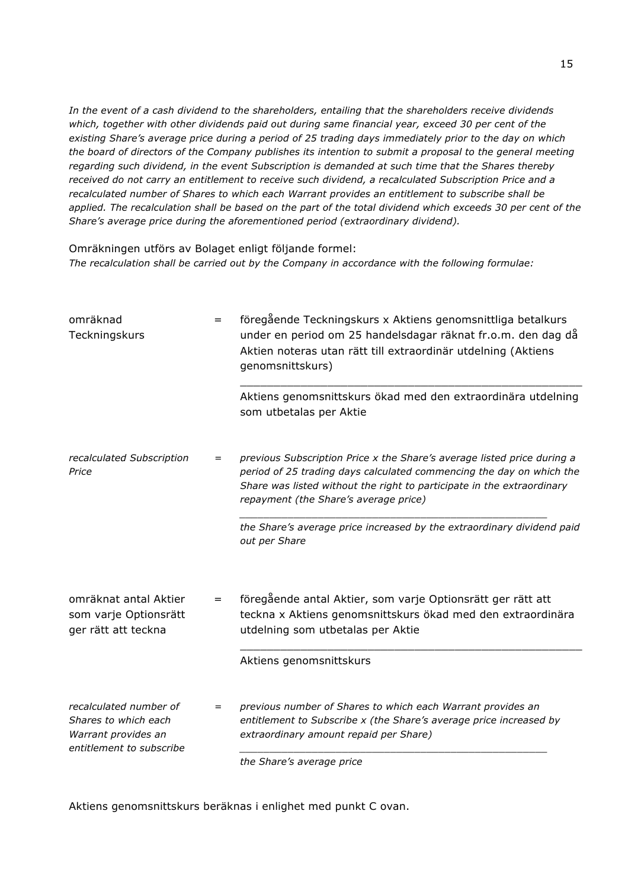*In the event of a cash dividend to the shareholders, entailing that the shareholders receive dividends which, together with other dividends paid out during same financial year, exceed 30 per cent of the existing Share's average price during a period of 25 trading days immediately prior to the day on which the board of directors of the Company publishes its intention to submit a proposal to the general meeting regarding such dividend, in the event Subscription is demanded at such time that the Shares thereby received do not carry an entitlement to receive such dividend, a recalculated Subscription Price and a recalculated number of Shares to which each Warrant provides an entitlement to subscribe shall be applied. The recalculation shall be based on the part of the total dividend which exceeds 30 per cent of the Share's average price during the aforementioned period (extraordinary dividend).*

#### Omräkningen utförs av Bolaget enligt följande formel:

*The recalculation shall be carried out by the Company in accordance with the following formulae:*

| omräknad<br>Teckningskurs                                                                         | $=$ | föregående Teckningskurs x Aktiens genomsnittliga betalkurs<br>under en period om 25 handelsdagar räknat fr.o.m. den dag då<br>Aktien noteras utan rätt till extraordinär utdelning (Aktiens<br>genomsnittskurs)                                                   |
|---------------------------------------------------------------------------------------------------|-----|--------------------------------------------------------------------------------------------------------------------------------------------------------------------------------------------------------------------------------------------------------------------|
|                                                                                                   |     | Aktiens genomsnittskurs ökad med den extraordinära utdelning<br>som utbetalas per Aktie                                                                                                                                                                            |
| recalculated Subscription<br>Price                                                                | $=$ | previous Subscription Price x the Share's average listed price during a<br>period of 25 trading days calculated commencing the day on which the<br>Share was listed without the right to participate in the extraordinary<br>repayment (the Share's average price) |
|                                                                                                   |     | the Share's average price increased by the extraordinary dividend paid<br>out per Share                                                                                                                                                                            |
| omräknat antal Aktier<br>som varje Optionsrätt<br>ger rätt att teckna                             | $=$ | föregående antal Aktier, som varje Optionsrätt ger rätt att<br>teckna x Aktiens genomsnittskurs ökad med den extraordinära<br>utdelning som utbetalas per Aktie                                                                                                    |
|                                                                                                   |     | Aktiens genomsnittskurs                                                                                                                                                                                                                                            |
| recalculated number of<br>Shares to which each<br>Warrant provides an<br>entitlement to subscribe | $=$ | previous number of Shares to which each Warrant provides an<br>entitlement to Subscribe x (the Share's average price increased by<br>extraordinary amount repaid per Share)                                                                                        |
|                                                                                                   |     | the Share's average price                                                                                                                                                                                                                                          |

Aktiens genomsnittskurs beräknas i enlighet med punkt C ovan.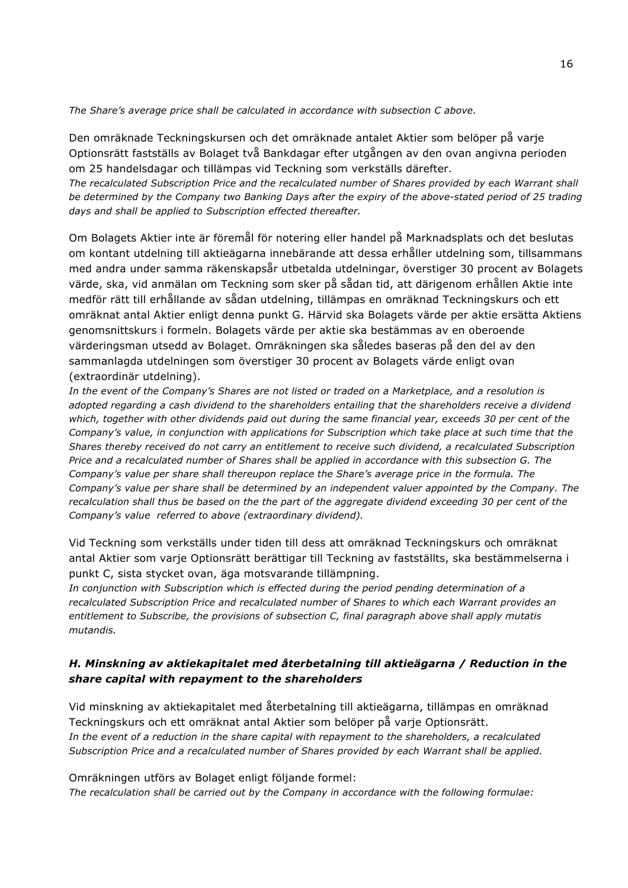*The Share's average price shall be calculated in accordance with subsection C above.*

Den omräknade Teckningskursen och det omräknade antalet Aktier som belöper på varje Optionsrätt fastställs av Bolaget två Bankdagar efter utgången av den ovan angivna perioden om 25 handelsdagar och tillämpas vid Teckning som verkställs därefter.

*The recalculated Subscription Price and the recalculated number of Shares provided by each Warrant shall be determined by the Company two Banking Days after the expiry of the above-stated period of 25 trading days and shall be applied to Subscription effected thereafter.*

Om Bolagets Aktier inte är föremål för notering eller handel på Marknadsplats och det beslutas om kontant utdelning till aktieägarna innebärande att dessa erhåller utdelning som, tillsammans med andra under samma räkenskapsår utbetalda utdelningar, överstiger 30 procent av Bolagets värde, ska, vid anmälan om Teckning som sker på sådan tid, att därigenom erhållen Aktie inte medför rätt till erhållande av sådan utdelning, tillämpas en omräknad Teckningskurs och ett omräknat antal Aktier enligt denna punkt G. Härvid ska Bolagets värde per aktie ersätta Aktiens genomsnittskurs i formeln. Bolagets värde per aktie ska bestämmas av en oberoende värderingsman utsedd av Bolaget. Omräkningen ska således baseras på den del av den sammanlagda utdelningen som överstiger 30 procent av Bolagets värde enligt ovan (extraordinär utdelning).

*In the event of the Company's Shares are not listed or traded on a Marketplace, and a resolution is adopted regarding a cash dividend to the shareholders entailing that the shareholders receive a dividend which, together with other dividends paid out during the same financial year, exceeds 30 per cent of the Company's value, in conjunction with applications for Subscription which take place at such time that the Shares thereby received do not carry an entitlement to receive such dividend, a recalculated Subscription Price and a recalculated number of Shares shall be applied in accordance with this subsection G. The Company's value per share shall thereupon replace the Share's average price in the formula. The Company's value per share shall be determined by an independent valuer appointed by the Company. The recalculation shall thus be based on the the part of the aggregate dividend exceeding 30 per cent of the Company's value referred to above (extraordinary dividend).*

Vid Teckning som verkställs under tiden till dess att omräknad Teckningskurs och omräknat antal Aktier som varje Optionsrätt berättigar till Teckning av fastställts, ska bestämmelserna i punkt C, sista stycket ovan, äga motsvarande tillämpning.

*In conjunction with Subscription which is effected during the period pending determination of a recalculated Subscription Price and recalculated number of Shares to which each Warrant provides an entitlement to Subscribe, the provisions of subsection C, final paragraph above shall apply mutatis mutandis.*

### *H. Minskning av aktiekapitalet med återbetalning till aktieägarna / Reduction in the share capital with repayment to the shareholders*

Vid minskning av aktiekapitalet med återbetalning till aktieägarna, tillämpas en omräknad Teckningskurs och ett omräknat antal Aktier som belöper på varje Optionsrätt. *In the event of a reduction in the share capital with repayment to the shareholders, a recalculated Subscription Price and a recalculated number of Shares provided by each Warrant shall be applied.*

Omräkningen utförs av Bolaget enligt följande formel: *The recalculation shall be carried out by the Company in accordance with the following formulae:*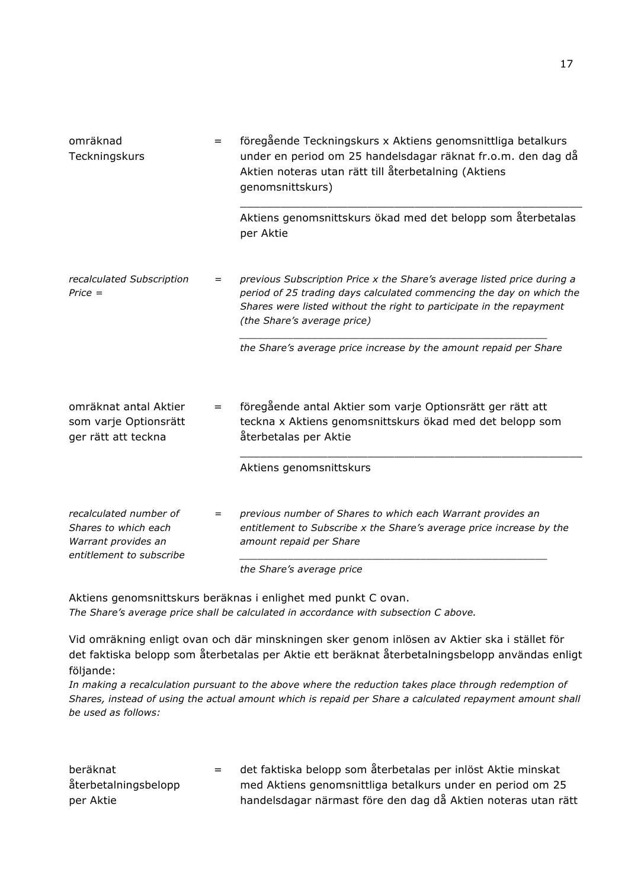| omräknad<br>Teckningskurs                                                                         | $=$ | föregående Teckningskurs x Aktiens genomsnittliga betalkurs<br>under en period om 25 handelsdagar räknat fr.o.m. den dag då<br>Aktien noteras utan rätt till återbetalning (Aktiens<br>genomsnittskurs)<br>Aktiens genomsnittskurs ökad med det belopp som återbetalas |
|---------------------------------------------------------------------------------------------------|-----|------------------------------------------------------------------------------------------------------------------------------------------------------------------------------------------------------------------------------------------------------------------------|
|                                                                                                   |     | per Aktie                                                                                                                                                                                                                                                              |
| recalculated Subscription<br>$Price =$                                                            | $=$ | previous Subscription Price x the Share's average listed price during a<br>period of 25 trading days calculated commencing the day on which the<br>Shares were listed without the right to participate in the repayment<br>(the Share's average price)                 |
|                                                                                                   |     | the Share's average price increase by the amount repaid per Share                                                                                                                                                                                                      |
| omräknat antal Aktier<br>som varje Optionsrätt<br>ger rätt att teckna                             | $=$ | föregående antal Aktier som varje Optionsrätt ger rätt att<br>teckna x Aktiens genomsnittskurs ökad med det belopp som<br>återbetalas per Aktie                                                                                                                        |
|                                                                                                   |     | Aktiens genomsnittskurs                                                                                                                                                                                                                                                |
| recalculated number of<br>Shares to which each<br>Warrant provides an<br>entitlement to subscribe | $=$ | previous number of Shares to which each Warrant provides an<br>entitlement to Subscribe x the Share's average price increase by the<br>amount repaid per Share                                                                                                         |
|                                                                                                   |     | the Share's average price                                                                                                                                                                                                                                              |

Aktiens genomsnittskurs beräknas i enlighet med punkt C ovan. *The Share's average price shall be calculated in accordance with subsection C above.*

Vid omräkning enligt ovan och där minskningen sker genom inlösen av Aktier ska i stället för det faktiska belopp som återbetalas per Aktie ett beräknat återbetalningsbelopp användas enligt följande:

*In making a recalculation pursuant to the above where the reduction takes place through redemption of Shares, instead of using the actual amount which is repaid per Share a calculated repayment amount shall be used as follows:*

| beräknat             | $=$ $-$ | det faktiska belopp som återbetalas per inlöst Aktie minskat  |
|----------------------|---------|---------------------------------------------------------------|
| återbetalningsbelopp |         | med Aktiens genomsnittliga betalkurs under en period om 25    |
| per Aktie            |         | handelsdagar närmast före den dag då Aktien noteras utan rätt |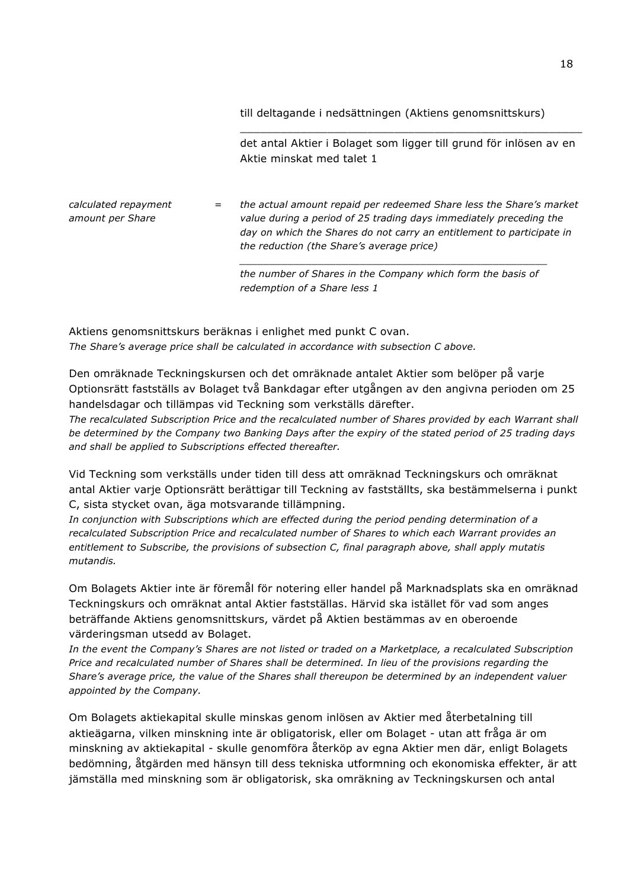till deltagande i nedsättningen (Aktiens genomsnittskurs)

det antal Aktier i Bolaget som ligger till grund för inlösen av en Aktie minskat med talet 1

\_\_\_\_\_\_\_\_\_\_\_\_\_\_\_\_\_\_\_\_\_\_\_\_\_\_\_\_\_\_\_\_\_\_\_\_\_\_\_\_\_\_\_\_\_\_\_\_\_\_\_

*calculated repayment amount per Share = the actual amount repaid per redeemed Share less the Share's market value during a period of 25 trading days immediately preceding the day on which the Shares do not carry an entitlement to participate in the reduction (the Share's average price)*

> *the number of Shares in the Company which form the basis of redemption of a Share less 1*

*\_\_\_\_\_\_\_\_\_\_\_\_\_\_\_\_\_\_\_\_\_\_\_\_\_\_\_\_\_\_\_\_\_\_\_\_\_\_\_\_\_\_\_\_\_\_\_\_\_\_\_*

Aktiens genomsnittskurs beräknas i enlighet med punkt C ovan. *The Share's average price shall be calculated in accordance with subsection C above.*

Den omräknade Teckningskursen och det omräknade antalet Aktier som belöper på varje Optionsrätt fastställs av Bolaget två Bankdagar efter utgången av den angivna perioden om 25 handelsdagar och tillämpas vid Teckning som verkställs därefter.

*The recalculated Subscription Price and the recalculated number of Shares provided by each Warrant shall be determined by the Company two Banking Days after the expiry of the stated period of 25 trading days and shall be applied to Subscriptions effected thereafter.*

Vid Teckning som verkställs under tiden till dess att omräknad Teckningskurs och omräknat antal Aktier varje Optionsrätt berättigar till Teckning av fastställts, ska bestämmelserna i punkt C, sista stycket ovan, äga motsvarande tillämpning.

*In conjunction with Subscriptions which are effected during the period pending determination of a recalculated Subscription Price and recalculated number of Shares to which each Warrant provides an entitlement to Subscribe, the provisions of subsection C, final paragraph above, shall apply mutatis mutandis.*

Om Bolagets Aktier inte är föremål för notering eller handel på Marknadsplats ska en omräknad Teckningskurs och omräknat antal Aktier fastställas. Härvid ska istället för vad som anges beträffande Aktiens genomsnittskurs, värdet på Aktien bestämmas av en oberoende värderingsman utsedd av Bolaget.

*In the event the Company's Shares are not listed or traded on a Marketplace, a recalculated Subscription Price and recalculated number of Shares shall be determined. In lieu of the provisions regarding the Share's average price, the value of the Shares shall thereupon be determined by an independent valuer appointed by the Company.*

Om Bolagets aktiekapital skulle minskas genom inlösen av Aktier med återbetalning till aktieägarna, vilken minskning inte är obligatorisk, eller om Bolaget - utan att fråga är om minskning av aktiekapital - skulle genomföra återköp av egna Aktier men där, enligt Bolagets bedömning, åtgärden med hänsyn till dess tekniska utformning och ekonomiska effekter, är att jämställa med minskning som är obligatorisk, ska omräkning av Teckningskursen och antal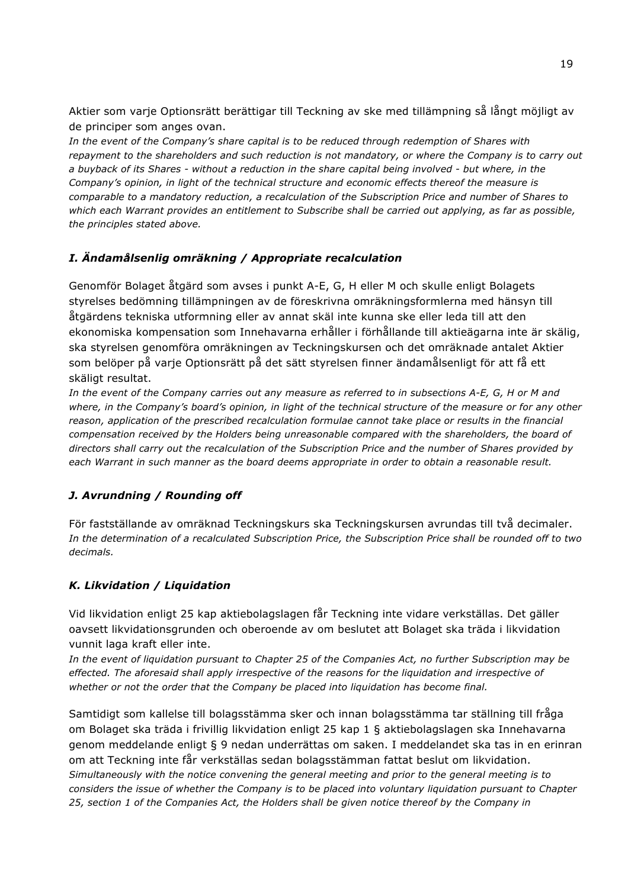Aktier som varje Optionsrätt berättigar till Teckning av ske med tillämpning så långt möjligt av de principer som anges ovan.

*In the event of the Company's share capital is to be reduced through redemption of Shares with repayment to the shareholders and such reduction is not mandatory, or where the Company is to carry out a buyback of its Shares - without a reduction in the share capital being involved - but where, in the Company's opinion, in light of the technical structure and economic effects thereof the measure is comparable to a mandatory reduction, a recalculation of the Subscription Price and number of Shares to which each Warrant provides an entitlement to Subscribe shall be carried out applying, as far as possible, the principles stated above.*

## *I. Ändamålsenlig omräkning / Appropriate recalculation*

Genomför Bolaget åtgärd som avses i punkt A-E, G, H eller M och skulle enligt Bolagets styrelses bedömning tillämpningen av de föreskrivna omräkningsformlerna med hänsyn till åtgärdens tekniska utformning eller av annat skäl inte kunna ske eller leda till att den ekonomiska kompensation som Innehavarna erhåller i förhållande till aktieägarna inte är skälig, ska styrelsen genomföra omräkningen av Teckningskursen och det omräknade antalet Aktier som belöper på varje Optionsrätt på det sätt styrelsen finner ändamålsenligt för att få ett skäligt resultat.

*In the event of the Company carries out any measure as referred to in subsections A-E, G, H or M and where, in the Company's board's opinion, in light of the technical structure of the measure or for any other reason, application of the prescribed recalculation formulae cannot take place or results in the financial compensation received by the Holders being unreasonable compared with the shareholders, the board of directors shall carry out the recalculation of the Subscription Price and the number of Shares provided by each Warrant in such manner as the board deems appropriate in order to obtain a reasonable result.*

### *J. Avrundning / Rounding off*

För fastställande av omräknad Teckningskurs ska Teckningskursen avrundas till två decimaler. *In the determination of a recalculated Subscription Price, the Subscription Price shall be rounded off to two decimals.*

### *K. Likvidation / Liquidation*

Vid likvidation enligt 25 kap aktiebolagslagen får Teckning inte vidare verkställas. Det gäller oavsett likvidationsgrunden och oberoende av om beslutet att Bolaget ska träda i likvidation vunnit laga kraft eller inte.

*In the event of liquidation pursuant to Chapter 25 of the Companies Act, no further Subscription may be*  effected. The aforesaid shall apply irrespective of the reasons for the liquidation and irrespective of *whether or not the order that the Company be placed into liquidation has become final.*

Samtidigt som kallelse till bolagsstämma sker och innan bolagsstämma tar ställning till fråga om Bolaget ska träda i frivillig likvidation enligt 25 kap 1 § aktiebolagslagen ska Innehavarna genom meddelande enligt § 9 nedan underrättas om saken. I meddelandet ska tas in en erinran om att Teckning inte får verkställas sedan bolagsstämman fattat beslut om likvidation. *Simultaneously with the notice convening the general meeting and prior to the general meeting is to considers the issue of whether the Company is to be placed into voluntary liquidation pursuant to Chapter 25, section 1 of the Companies Act, the Holders shall be given notice thereof by the Company in*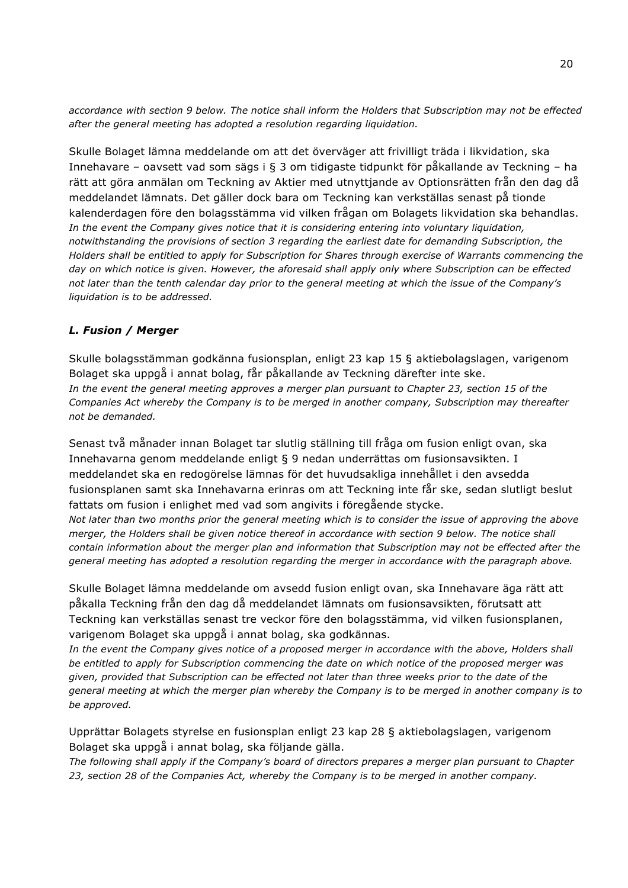*accordance with section 9 below. The notice shall inform the Holders that Subscription may not be effected after the general meeting has adopted a resolution regarding liquidation.*

Skulle Bolaget lämna meddelande om att det överväger att frivilligt träda i likvidation, ska Innehavare – oavsett vad som sägs i § 3 om tidigaste tidpunkt för påkallande av Teckning – ha rätt att göra anmälan om Teckning av Aktier med utnyttjande av Optionsrätten från den dag då meddelandet lämnats. Det gäller dock bara om Teckning kan verkställas senast på tionde kalenderdagen före den bolagsstämma vid vilken frågan om Bolagets likvidation ska behandlas. *In the event the Company gives notice that it is considering entering into voluntary liquidation, notwithstanding the provisions of section 3 regarding the earliest date for demanding Subscription, the Holders shall be entitled to apply for Subscription for Shares through exercise of Warrants commencing the day on which notice is given. However, the aforesaid shall apply only where Subscription can be effected not later than the tenth calendar day prior to the general meeting at which the issue of the Company's liquidation is to be addressed.*

### *L. Fusion / Merger*

Skulle bolagsstämman godkänna fusionsplan, enligt 23 kap 15 § aktiebolagslagen, varigenom Bolaget ska uppgå i annat bolag, får påkallande av Teckning därefter inte ske. In the event the general meeting approves a merger plan pursuant to Chapter 23, section 15 of the *Companies Act whereby the Company is to be merged in another company, Subscription may thereafter not be demanded.*

Senast två månader innan Bolaget tar slutlig ställning till fråga om fusion enligt ovan, ska Innehavarna genom meddelande enligt § 9 nedan underrättas om fusionsavsikten. I meddelandet ska en redogörelse lämnas för det huvudsakliga innehållet i den avsedda fusionsplanen samt ska Innehavarna erinras om att Teckning inte får ske, sedan slutligt beslut fattats om fusion i enlighet med vad som angivits i föregående stycke.

*Not later than two months prior the general meeting which is to consider the issue of approving the above merger, the Holders shall be given notice thereof in accordance with section 9 below. The notice shall contain information about the merger plan and information that Subscription may not be effected after the general meeting has adopted a resolution regarding the merger in accordance with the paragraph above.*

Skulle Bolaget lämna meddelande om avsedd fusion enligt ovan, ska Innehavare äga rätt att påkalla Teckning från den dag då meddelandet lämnats om fusionsavsikten, förutsatt att Teckning kan verkställas senast tre veckor före den bolagsstämma, vid vilken fusionsplanen, varigenom Bolaget ska uppgå i annat bolag, ska godkännas.

In the event the Company gives notice of a proposed merger in accordance with the above, Holders shall *be entitled to apply for Subscription commencing the date on which notice of the proposed merger was given, provided that Subscription can be effected not later than three weeks prior to the date of the general meeting at which the merger plan whereby the Company is to be merged in another company is to be approved.*

Upprättar Bolagets styrelse en fusionsplan enligt 23 kap 28 § aktiebolagslagen, varigenom Bolaget ska uppgå i annat bolag, ska följande gälla.

*The following shall apply if the Company's board of directors prepares a merger plan pursuant to Chapter 23, section 28 of the Companies Act, whereby the Company is to be merged in another company.*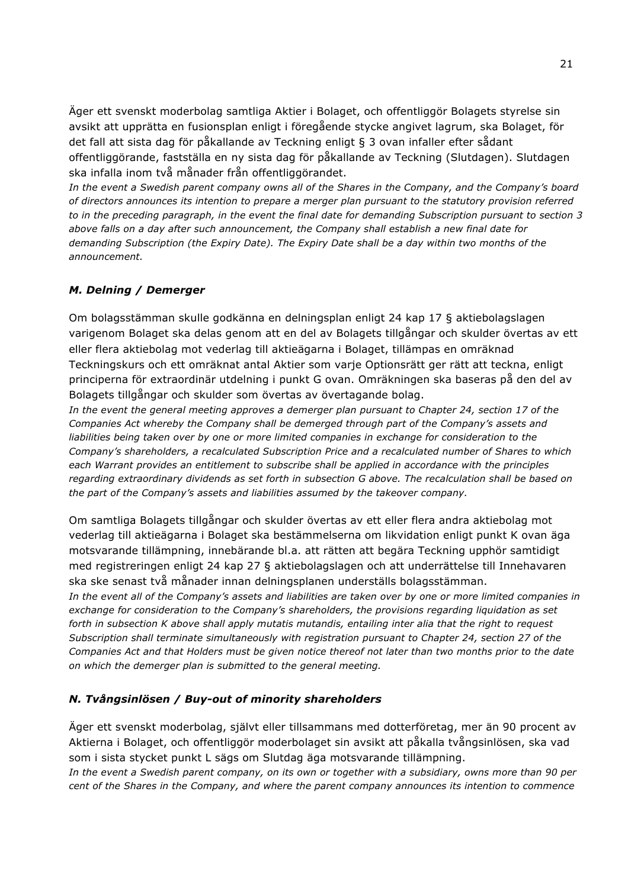Äger ett svenskt moderbolag samtliga Aktier i Bolaget, och offentliggör Bolagets styrelse sin avsikt att upprätta en fusionsplan enligt i föregående stycke angivet lagrum, ska Bolaget, för det fall att sista dag för påkallande av Teckning enligt § 3 ovan infaller efter sådant offentliggörande, fastställa en ny sista dag för påkallande av Teckning (Slutdagen). Slutdagen ska infalla inom två månader från offentliggörandet.

*In the event a Swedish parent company owns all of the Shares in the Company, and the Company's board of directors announces its intention to prepare a merger plan pursuant to the statutory provision referred to in the preceding paragraph, in the event the final date for demanding Subscription pursuant to section 3 above falls on a day after such announcement, the Company shall establish a new final date for demanding Subscription (the Expiry Date). The Expiry Date shall be a day within two months of the announcement.*

### *M. Delning / Demerger*

Om bolagsstämman skulle godkänna en delningsplan enligt 24 kap 17 § aktiebolagslagen varigenom Bolaget ska delas genom att en del av Bolagets tillgångar och skulder övertas av ett eller flera aktiebolag mot vederlag till aktieägarna i Bolaget, tillämpas en omräknad Teckningskurs och ett omräknat antal Aktier som varje Optionsrätt ger rätt att teckna, enligt principerna för extraordinär utdelning i punkt G ovan. Omräkningen ska baseras på den del av Bolagets tillgångar och skulder som övertas av övertagande bolag.

*In the event the general meeting approves a demerger plan pursuant to Chapter 24, section 17 of the Companies Act whereby the Company shall be demerged through part of the Company's assets and*  liabilities being taken over by one or more limited companies in exchange for consideration to the *Company's shareholders, a recalculated Subscription Price and a recalculated number of Shares to which*  each Warrant provides an entitlement to subscribe shall be applied in accordance with the principles *regarding extraordinary dividends as set forth in subsection G above. The recalculation shall be based on the part of the Company's assets and liabilities assumed by the takeover company.*

Om samtliga Bolagets tillgångar och skulder övertas av ett eller flera andra aktiebolag mot vederlag till aktieägarna i Bolaget ska bestämmelserna om likvidation enligt punkt K ovan äga motsvarande tillämpning, innebärande bl.a. att rätten att begära Teckning upphör samtidigt med registreringen enligt 24 kap 27 § aktiebolagslagen och att underrättelse till Innehavaren ska ske senast två månader innan delningsplanen underställs bolagsstämman.

*In the event all of the Company's assets and liabilities are taken over by one or more limited companies in exchange for consideration to the Company's shareholders, the provisions regarding liquidation as set forth in subsection K above shall apply mutatis mutandis, entailing inter alia that the right to request Subscription shall terminate simultaneously with registration pursuant to Chapter 24, section 27 of the Companies Act and that Holders must be given notice thereof not later than two months prior to the date on which the demerger plan is submitted to the general meeting.*

### *N. Tvångsinlösen / Buy-out of minority shareholders*

Äger ett svenskt moderbolag, självt eller tillsammans med dotterföretag, mer än 90 procent av Aktierna i Bolaget, och offentliggör moderbolaget sin avsikt att påkalla tvångsinlösen, ska vad som i sista stycket punkt L sägs om Slutdag äga motsvarande tillämpning.

*In the event a Swedish parent company, on its own or together with a subsidiary, owns more than 90 per cent of the Shares in the Company, and where the parent company announces its intention to commence*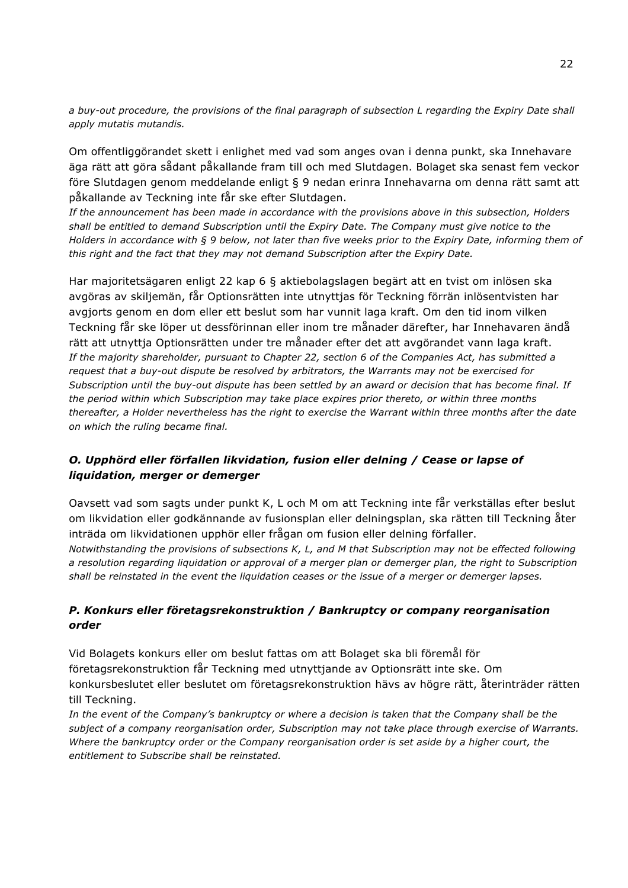*a buy-out procedure, the provisions of the final paragraph of subsection L regarding the Expiry Date shall apply mutatis mutandis.*

Om offentliggörandet skett i enlighet med vad som anges ovan i denna punkt, ska Innehavare äga rätt att göra sådant påkallande fram till och med Slutdagen. Bolaget ska senast fem veckor före Slutdagen genom meddelande enligt § 9 nedan erinra Innehavarna om denna rätt samt att påkallande av Teckning inte får ske efter Slutdagen.

*If the announcement has been made in accordance with the provisions above in this subsection, Holders shall be entitled to demand Subscription until the Expiry Date. The Company must give notice to the Holders in accordance with § 9 below, not later than five weeks prior to the Expiry Date, informing them of this right and the fact that they may not demand Subscription after the Expiry Date.*

Har majoritetsägaren enligt 22 kap 6 § aktiebolagslagen begärt att en tvist om inlösen ska avgöras av skiljemän, får Optionsrätten inte utnyttjas för Teckning förrän inlösentvisten har avgjorts genom en dom eller ett beslut som har vunnit laga kraft. Om den tid inom vilken Teckning får ske löper ut dessförinnan eller inom tre månader därefter, har Innehavaren ändå rätt att utnyttja Optionsrätten under tre månader efter det att avgörandet vann laga kraft. *If the majority shareholder, pursuant to Chapter 22, section 6 of the Companies Act, has submitted a request that a buy-out dispute be resolved by arbitrators, the Warrants may not be exercised for Subscription until the buy-out dispute has been settled by an award or decision that has become final. If the period within which Subscription may take place expires prior thereto, or within three months thereafter, a Holder nevertheless has the right to exercise the Warrant within three months after the date on which the ruling became final.*

### *O. Upphörd eller förfallen likvidation, fusion eller delning / Cease or lapse of liquidation, merger or demerger*

Oavsett vad som sagts under punkt K, L och M om att Teckning inte får verkställas efter beslut om likvidation eller godkännande av fusionsplan eller delningsplan, ska rätten till Teckning åter inträda om likvidationen upphör eller frågan om fusion eller delning förfaller.

*Notwithstanding the provisions of subsections K, L, and M that Subscription may not be effected following a resolution regarding liquidation or approval of a merger plan or demerger plan, the right to Subscription shall be reinstated in the event the liquidation ceases or the issue of a merger or demerger lapses.*

### *P. Konkurs eller företagsrekonstruktion / Bankruptcy or company reorganisation order*

Vid Bolagets konkurs eller om beslut fattas om att Bolaget ska bli föremål för företagsrekonstruktion får Teckning med utnyttjande av Optionsrätt inte ske. Om konkursbeslutet eller beslutet om företagsrekonstruktion hävs av högre rätt, återinträder rätten till Teckning.

*In the event of the Company's bankruptcy or where a decision is taken that the Company shall be the subject of a company reorganisation order, Subscription may not take place through exercise of Warrants. Where the bankruptcy order or the Company reorganisation order is set aside by a higher court, the entitlement to Subscribe shall be reinstated.*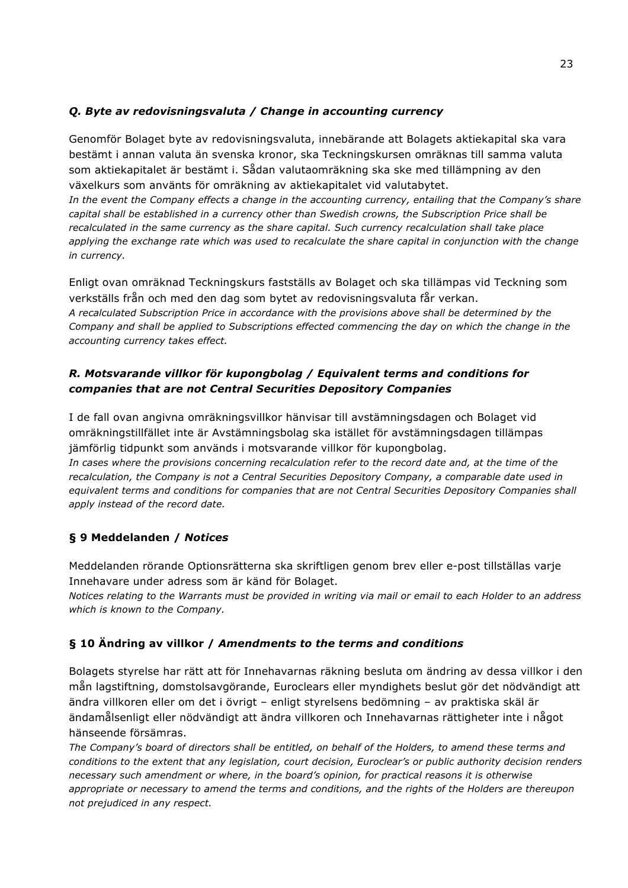### *Q. Byte av redovisningsvaluta / Change in accounting currency*

Genomför Bolaget byte av redovisningsvaluta, innebärande att Bolagets aktiekapital ska vara bestämt i annan valuta än svenska kronor, ska Teckningskursen omräknas till samma valuta som aktiekapitalet är bestämt i. Sådan valutaomräkning ska ske med tillämpning av den växelkurs som använts för omräkning av aktiekapitalet vid valutabytet.

*In the event the Company effects a change in the accounting currency, entailing that the Company's share capital shall be established in a currency other than Swedish crowns, the Subscription Price shall be recalculated in the same currency as the share capital. Such currency recalculation shall take place*  applying the exchange rate which was used to recalculate the share capital in conjunction with the change *in currency.*

Enligt ovan omräknad Teckningskurs fastställs av Bolaget och ska tillämpas vid Teckning som verkställs från och med den dag som bytet av redovisningsvaluta får verkan. *A recalculated Subscription Price in accordance with the provisions above shall be determined by the Company and shall be applied to Subscriptions effected commencing the day on which the change in the accounting currency takes effect.*

### *R. Motsvarande villkor för kupongbolag / Equivalent terms and conditions for companies that are not Central Securities Depository Companies*

I de fall ovan angivna omräkningsvillkor hänvisar till avstämningsdagen och Bolaget vid omräkningstillfället inte är Avstämningsbolag ska istället för avstämningsdagen tillämpas jämförlig tidpunkt som används i motsvarande villkor för kupongbolag.

In cases where the provisions concerning recalculation refer to the record date and, at the time of the *recalculation, the Company is not a Central Securities Depository Company, a comparable date used in equivalent terms and conditions for companies that are not Central Securities Depository Companies shall apply instead of the record date.*

## **§ 9 Meddelanden /** *Notices*

Meddelanden rörande Optionsrätterna ska skriftligen genom brev eller e-post tillställas varje Innehavare under adress som är känd för Bolaget.

*Notices relating to the Warrants must be provided in writing via mail or email to each Holder to an address which is known to the Company.*

### **§ 10 Ändring av villkor /** *Amendments to the terms and conditions*

Bolagets styrelse har rätt att för Innehavarnas räkning besluta om ändring av dessa villkor i den mån lagstiftning, domstolsavgörande, Euroclears eller myndighets beslut gör det nödvändigt att ändra villkoren eller om det i övrigt – enligt styrelsens bedömning – av praktiska skäl är ändamålsenligt eller nödvändigt att ändra villkoren och Innehavarnas rättigheter inte i något hänseende försämras.

*The Company's board of directors shall be entitled, on behalf of the Holders, to amend these terms and conditions to the extent that any legislation, court decision, Euroclear's or public authority decision renders necessary such amendment or where, in the board's opinion, for practical reasons it is otherwise appropriate or necessary to amend the terms and conditions, and the rights of the Holders are thereupon not prejudiced in any respect.*